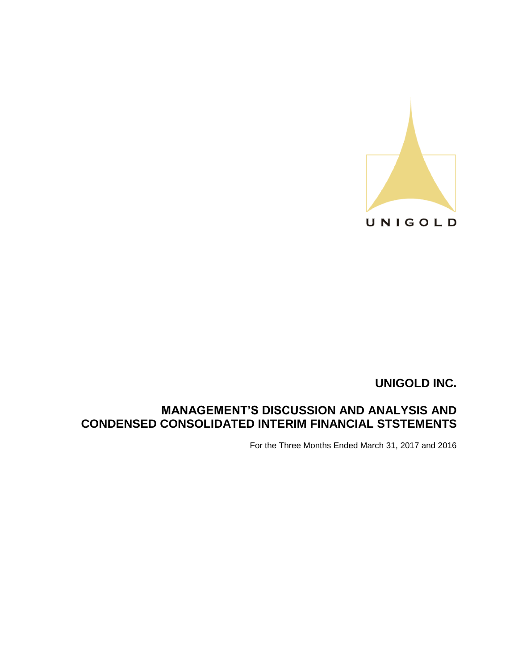

# **MANAGEMENT'S DISCUSSION AND ANALYSIS AND CONDENSED CONSOLIDATED INTERIM FINANCIAL STSTEMENTS**

For the Three Months Ended March 31, 2017 and 2016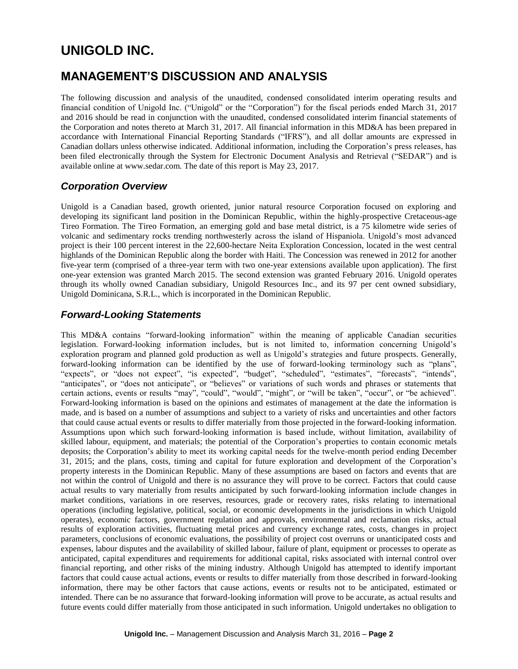# **MANAGEMENT'S DISCUSSION AND ANALYSIS**

The following discussion and analysis of the unaudited, condensed consolidated interim operating results and financial condition of Unigold Inc. ("Unigold" or the "Corporation") for the fiscal periods ended March 31, 2017 and 2016 should be read in conjunction with the unaudited, condensed consolidated interim financial statements of the Corporation and notes thereto at March 31, 2017. All financial information in this MD&A has been prepared in accordance with International Financial Reporting Standards ("IFRS"), and all dollar amounts are expressed in Canadian dollars unless otherwise indicated. Additional information, including the Corporation's press releases, has been filed electronically through the System for Electronic Document Analysis and Retrieval ("SEDAR") and is available online at www.sedar.com. The date of this report is May 23, 2017.

## *Corporation Overview*

Unigold is a Canadian based, growth oriented, junior natural resource Corporation focused on exploring and developing its significant land position in the Dominican Republic, within the highly-prospective Cretaceous-age Tireo Formation. The Tireo Formation, an emerging gold and base metal district, is a 75 kilometre wide series of volcanic and sedimentary rocks trending northwesterly across the island of Hispaniola. Unigold's most advanced project is their 100 percent interest in the 22,600-hectare Neita Exploration Concession, located in the west central highlands of the Dominican Republic along the border with Haiti. The Concession was renewed in 2012 for another five-year term (comprised of a three-year term with two one-year extensions available upon application). The first one-year extension was granted March 2015. The second extension was granted February 2016. Unigold operates through its wholly owned Canadian subsidiary, Unigold Resources Inc., and its 97 per cent owned subsidiary, Unigold Dominicana, S.R.L., which is incorporated in the Dominican Republic.

## *Forward-Looking Statements*

This MD&A contains "forward-looking information" within the meaning of applicable Canadian securities legislation. Forward-looking information includes, but is not limited to, information concerning Unigold's exploration program and planned gold production as well as Unigold's strategies and future prospects. Generally, forward-looking information can be identified by the use of forward-looking terminology such as "plans", "expects", or "does not expect", "is expected", "budget", "scheduled", "estimates", "forecasts", "intends", "anticipates", or "does not anticipate", or "believes" or variations of such words and phrases or statements that certain actions, events or results "may", "could", "would", "might", or "will be taken", "occur", or "be achieved". Forward-looking information is based on the opinions and estimates of management at the date the information is made, and is based on a number of assumptions and subject to a variety of risks and uncertainties and other factors that could cause actual events or results to differ materially from those projected in the forward-looking information. Assumptions upon which such forward-looking information is based include, without limitation, availability of skilled labour, equipment, and materials; the potential of the Corporation's properties to contain economic metals deposits; the Corporation's ability to meet its working capital needs for the twelve-month period ending December 31, 2015; and the plans, costs, timing and capital for future exploration and development of the Corporation's property interests in the Dominican Republic. Many of these assumptions are based on factors and events that are not within the control of Unigold and there is no assurance they will prove to be correct. Factors that could cause actual results to vary materially from results anticipated by such forward-looking information include changes in market conditions, variations in ore reserves, resources, grade or recovery rates, risks relating to international operations (including legislative, political, social, or economic developments in the jurisdictions in which Unigold operates), economic factors, government regulation and approvals, environmental and reclamation risks, actual results of exploration activities, fluctuating metal prices and currency exchange rates, costs, changes in project parameters, conclusions of economic evaluations, the possibility of project cost overruns or unanticipated costs and expenses, labour disputes and the availability of skilled labour, failure of plant, equipment or processes to operate as anticipated, capital expenditures and requirements for additional capital, risks associated with internal control over financial reporting, and other risks of the mining industry. Although Unigold has attempted to identify important factors that could cause actual actions, events or results to differ materially from those described in forward-looking information, there may be other factors that cause actions, events or results not to be anticipated, estimated or intended. There can be no assurance that forward-looking information will prove to be accurate, as actual results and future events could differ materially from those anticipated in such information. Unigold undertakes no obligation to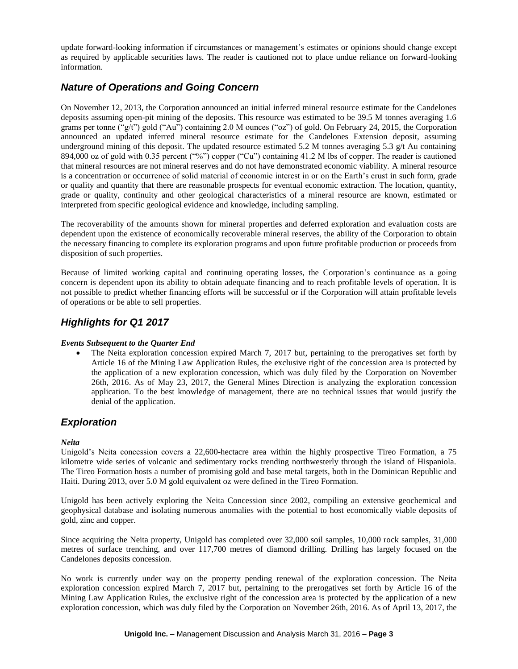update forward-looking information if circumstances or management's estimates or opinions should change except as required by applicable securities laws. The reader is cautioned not to place undue reliance on forward-looking information.

## *Nature of Operations and Going Concern*

On November 12, 2013, the Corporation announced an initial inferred mineral resource estimate for the Candelones deposits assuming open-pit mining of the deposits. This resource was estimated to be 39.5 M tonnes averaging 1.6 grams per tonne ("g/t") gold ("Au") containing 2.0 M ounces ("oz") of gold. On February 24, 2015, the Corporation announced an updated inferred mineral resource estimate for the Candelones Extension deposit, assuming underground mining of this deposit. The updated resource estimated 5.2 M tonnes averaging 5.3  $g/t$  Au containing 894,000 oz of gold with 0.35 percent ("%") copper ("Cu") containing 41.2 M lbs of copper. The reader is cautioned that mineral resources are not mineral reserves and do not have demonstrated economic viability. A mineral resource is a concentration or occurrence of solid material of economic interest in or on the Earth's crust in such form, grade or quality and quantity that there are reasonable prospects for eventual economic extraction. The location, quantity, grade or quality, continuity and other geological characteristics of a mineral resource are known, estimated or interpreted from specific geological evidence and knowledge, including sampling.

The recoverability of the amounts shown for mineral properties and deferred exploration and evaluation costs are dependent upon the existence of economically recoverable mineral reserves, the ability of the Corporation to obtain the necessary financing to complete its exploration programs and upon future profitable production or proceeds from disposition of such properties.

Because of limited working capital and continuing operating losses, the Corporation's continuance as a going concern is dependent upon its ability to obtain adequate financing and to reach profitable levels of operation. It is not possible to predict whether financing efforts will be successful or if the Corporation will attain profitable levels of operations or be able to sell properties.

## *Highlights for Q1 2017*

### *Events Subsequent to the Quarter End*

 The Neita exploration concession expired March 7, 2017 but, pertaining to the prerogatives set forth by Article 16 of the Mining Law Application Rules, the exclusive right of the concession area is protected by the application of a new exploration concession, which was duly filed by the Corporation on November 26th, 2016. As of May 23, 2017, the General Mines Direction is analyzing the exploration concession application. To the best knowledge of management, there are no technical issues that would justify the denial of the application.

### *Exploration*

### *Neita*

Unigold's Neita concession covers a 22,600-hectacre area within the highly prospective Tireo Formation, a 75 kilometre wide series of volcanic and sedimentary rocks trending northwesterly through the island of Hispaniola. The Tireo Formation hosts a number of promising gold and base metal targets, both in the Dominican Republic and Haiti. During 2013, over 5.0 M gold equivalent oz were defined in the Tireo Formation.

Unigold has been actively exploring the Neita Concession since 2002, compiling an extensive geochemical and geophysical database and isolating numerous anomalies with the potential to host economically viable deposits of gold, zinc and copper.

Since acquiring the Neita property, Unigold has completed over 32,000 soil samples, 10,000 rock samples, 31,000 metres of surface trenching, and over 117,700 metres of diamond drilling. Drilling has largely focused on the Candelones deposits concession.

No work is currently under way on the property pending renewal of the exploration concession. The Neita exploration concession expired March 7, 2017 but, pertaining to the prerogatives set forth by Article 16 of the Mining Law Application Rules, the exclusive right of the concession area is protected by the application of a new exploration concession, which was duly filed by the Corporation on November 26th, 2016. As of April 13, 2017, the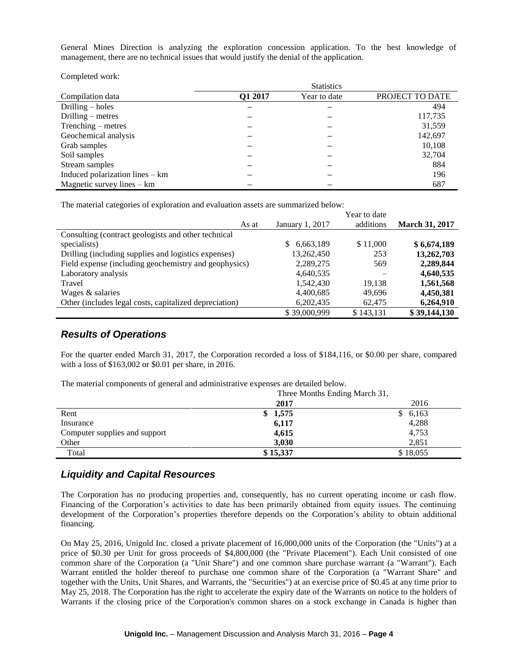General Mines Direction is analyzing the exploration concession application. To the best knowledge of management, there are no technical issues that would justify the denial of the application.

Completed work:

|                                 | <b>Statistics</b> |              |                 |  |  |  |
|---------------------------------|-------------------|--------------|-----------------|--|--|--|
| Compilation data                | Q1 2017           | Year to date | PROJECT TO DATE |  |  |  |
| Drilling $-$ holes              |                   |              | 494             |  |  |  |
| Drilling $-$ metres             |                   |              | 117,735         |  |  |  |
| $Trenching - metres$            |                   |              | 31,559          |  |  |  |
| Geochemical analysis            |                   |              | 142,697         |  |  |  |
| Grab samples                    |                   |              | 10,108          |  |  |  |
| Soil samples                    |                   |              | 32,704          |  |  |  |
| Stream samples                  |                   |              | 884             |  |  |  |
| Induced polarization lines – km |                   |              | 196             |  |  |  |
| Magnetic survey lines $-$ km    |                   |              | 687             |  |  |  |

The material categories of exploration and evaluation assets are summarized below:

|                                                        |                 | Year to date |                       |
|--------------------------------------------------------|-----------------|--------------|-----------------------|
| As at                                                  | January 1, 2017 | additions    | <b>March 31, 2017</b> |
| Consulting (contract geologists and other technical    |                 |              |                       |
| specialists)                                           | 6,663,189<br>S. | \$11,000     | \$6,674,189           |
| Drilling (including supplies and logistics expenses)   | 13,262,450      | 253          | 13,262,703            |
| Field expense (including geochemistry and geophysics)  | 2,289,275       | 569          | 2,289,844             |
| Laboratory analysis                                    | 4,640,535       |              | 4,640,535             |
| Travel                                                 | 1,542,430       | 19.138       | 1,561,568             |
| Wages & salaries                                       | 4,400,685       | 49.696       | 4,450,381             |
| Other (includes legal costs, capitalized depreciation) | 6,202,435       | 62,475       | 6,264,910             |
|                                                        | \$39,000,999    | \$143.131    | \$39,144,130          |

### *Results of Operations*

For the quarter ended March 31, 2017, the Corporation recorded a loss of \$184,116, or \$0.00 per share, compared with a loss of \$163,002 or \$0.01 per share, in 2016.

The material components of general and administrative expenses are detailed below.

|                               | Three Months Ending March 31, |          |  |  |
|-------------------------------|-------------------------------|----------|--|--|
|                               | 2017                          | 2016     |  |  |
| Rent                          | 1,575<br>S.                   | \$6,163  |  |  |
| Insurance                     | 6,117                         | 4,288    |  |  |
| Computer supplies and support | 4,615                         | 4,753    |  |  |
| Other                         | 3,030                         | 2.851    |  |  |
| Total                         | \$15,337                      | \$18,055 |  |  |

### *Liquidity and Capital Resources*

The Corporation has no producing properties and, consequently, has no current operating income or cash flow. Financing of the Corporation's activities to date has been primarily obtained from equity issues. The continuing development of the Corporation's properties therefore depends on the Corporation's ability to obtain additional financing.

On May 25, 2016, Unigold Inc. closed a private placement of 16,000,000 units of the Corporation (the "Units") at a price of \$0.30 per Unit for gross proceeds of \$4,800,000 (the "Private Placement"). Each Unit consisted of one common share of the Corporation (a "Unit Share") and one common share purchase warrant (a "Warrant"). Each Warrant entitled the holder thereof to purchase one common share of the Corporation (a "Warrant Share" and together with the Units, Unit Shares, and Warrants, the "Securities") at an exercise price of \$0.45 at any time prior to May 25, 2018. The Corporation has the right to accelerate the expiry date of the Warrants on notice to the holders of Warrants if the closing price of the Corporation's common shares on a stock exchange in Canada is higher than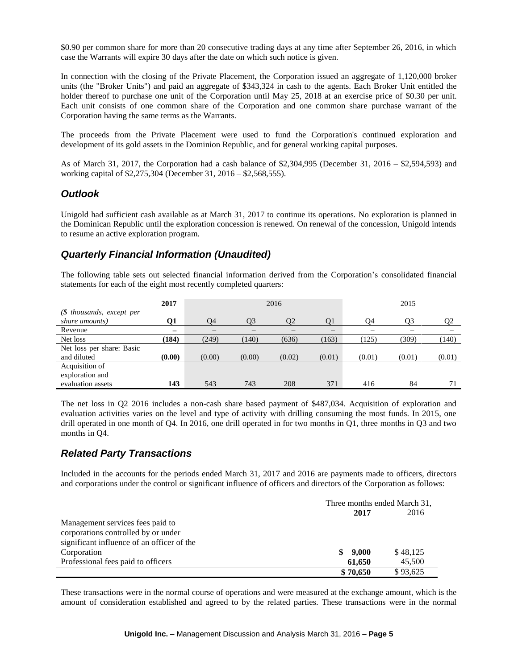\$0.90 per common share for more than 20 consecutive trading days at any time after September 26, 2016, in which case the Warrants will expire 30 days after the date on which such notice is given.

In connection with the closing of the Private Placement, the Corporation issued an aggregate of 1,120,000 broker units (the "Broker Units") and paid an aggregate of \$343,324 in cash to the agents. Each Broker Unit entitled the holder thereof to purchase one unit of the Corporation until May 25, 2018 at an exercise price of \$0.30 per unit. Each unit consists of one common share of the Corporation and one common share purchase warrant of the Corporation having the same terms as the Warrants.

The proceeds from the Private Placement were used to fund the Corporation's continued exploration and development of its gold assets in the Dominion Republic, and for general working capital purposes.

As of March 31, 2017, the Corporation had a cash balance of \$2,304,995 (December 31, 2016 – \$2,594,593) and working capital of \$2,275,304 (December 31, 2016 – \$2,568,555).

### *Outlook*

Unigold had sufficient cash available as at March 31, 2017 to continue its operations. No exploration is planned in the Dominican Republic until the exploration concession is renewed. On renewal of the concession, Unigold intends to resume an active exploration program.

## *Quarterly Financial Information (Unaudited)*

The following table sets out selected financial information derived from the Corporation's consolidated financial statements for each of the eight most recently completed quarters:

|                           | 2017                     | 2016   |        |        |        | 2015   |        |                |
|---------------------------|--------------------------|--------|--------|--------|--------|--------|--------|----------------|
| $$$ thousands, except per |                          |        |        |        |        |        |        |                |
| share amounts)            | О1                       | O4     | Q3     | 02     | Q1     | Q4     | O3     | Q <sub>2</sub> |
| Revenue                   | $\overline{\phantom{0}}$ | –      | –      |        | —      | –      |        |                |
| Net loss                  | (184)                    | (249)  | (140)  | (636)  | (163)  | (125)  | (309)  | (140)          |
| Net loss per share: Basic |                          |        |        |        |        |        |        |                |
| and diluted               | (0.00)                   | (0.00) | (0.00) | (0.02) | (0.01) | (0.01) | (0.01) | (0.01)         |
| Acquisition of            |                          |        |        |        |        |        |        |                |
| exploration and           |                          |        |        |        |        |        |        |                |
| evaluation assets         | 143                      | 543    | 743    | 208    | 371    | 416    | 84     |                |

The net loss in Q2 2016 includes a non-cash share based payment of \$487,034. Acquisition of exploration and evaluation activities varies on the level and type of activity with drilling consuming the most funds. In 2015, one drill operated in one month of Q4. In 2016, one drill operated in for two months in Q1, three months in Q3 and two months in Q4.

## *Related Party Transactions*

Included in the accounts for the periods ended March 31, 2017 and 2016 are payments made to officers, directors and corporations under the control or significant influence of officers and directors of the Corporation as follows:

|                                            | Three months ended March 31, |          |          |  |
|--------------------------------------------|------------------------------|----------|----------|--|
|                                            |                              | 2017     | 2016     |  |
| Management services fees paid to           |                              |          |          |  |
| corporations controlled by or under        |                              |          |          |  |
| significant influence of an officer of the |                              |          |          |  |
| Corporation                                |                              | \$9,000  | \$48,125 |  |
| Professional fees paid to officers         |                              | 61.650   | 45,500   |  |
|                                            |                              | \$70,650 | \$93,625 |  |

These transactions were in the normal course of operations and were measured at the exchange amount, which is the amount of consideration established and agreed to by the related parties. These transactions were in the normal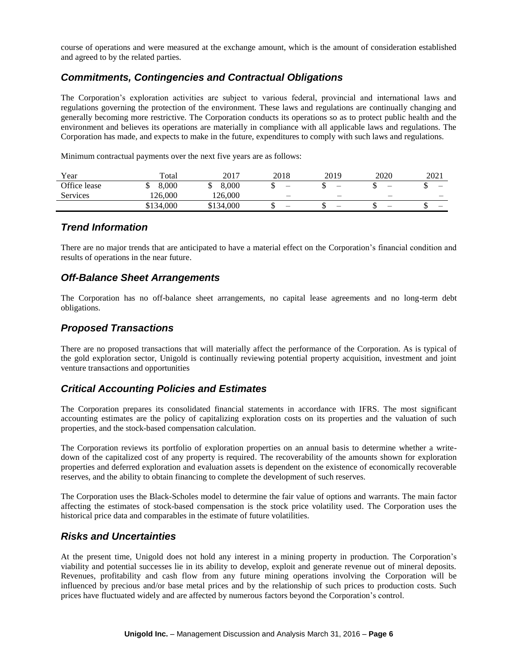course of operations and were measured at the exchange amount, which is the amount of consideration established and agreed to by the related parties.

## *Commitments, Contingencies and Contractual Obligations*

The Corporation's exploration activities are subject to various federal, provincial and international laws and regulations governing the protection of the environment. These laws and regulations are continually changing and generally becoming more restrictive. The Corporation conducts its operations so as to protect public health and the environment and believes its operations are materially in compliance with all applicable laws and regulations. The Corporation has made, and expects to make in the future, expenditures to comply with such laws and regulations.

Minimum contractual payments over the next five years are as follows:

| Year         | $_{\rm \tau total}$ | 2017      | 2018                     | 2019 | 2020                     | 2021 |
|--------------|---------------------|-----------|--------------------------|------|--------------------------|------|
| Office lease | 8.000               | 8.000     | $\overline{\phantom{0}}$ |      | -                        | -    |
| Services     | 126.000             | 126.000   | $\overline{\phantom{0}}$ |      |                          | —    |
|              | \$134,000           | \$134,000 | $\overline{\phantom{0}}$ |      | $\overline{\phantom{0}}$ | -    |

## *Trend Information*

There are no major trends that are anticipated to have a material effect on the Corporation's financial condition and results of operations in the near future.

### *Off-Balance Sheet Arrangements*

The Corporation has no off-balance sheet arrangements, no capital lease agreements and no long-term debt obligations.

### *Proposed Transactions*

There are no proposed transactions that will materially affect the performance of the Corporation. As is typical of the gold exploration sector, Unigold is continually reviewing potential property acquisition, investment and joint venture transactions and opportunities

### *Critical Accounting Policies and Estimates*

The Corporation prepares its consolidated financial statements in accordance with IFRS. The most significant accounting estimates are the policy of capitalizing exploration costs on its properties and the valuation of such properties, and the stock-based compensation calculation.

The Corporation reviews its portfolio of exploration properties on an annual basis to determine whether a writedown of the capitalized cost of any property is required. The recoverability of the amounts shown for exploration properties and deferred exploration and evaluation assets is dependent on the existence of economically recoverable reserves, and the ability to obtain financing to complete the development of such reserves.

The Corporation uses the Black-Scholes model to determine the fair value of options and warrants. The main factor affecting the estimates of stock-based compensation is the stock price volatility used. The Corporation uses the historical price data and comparables in the estimate of future volatilities.

### *Risks and Uncertainties*

At the present time, Unigold does not hold any interest in a mining property in production. The Corporation's viability and potential successes lie in its ability to develop, exploit and generate revenue out of mineral deposits. Revenues, profitability and cash flow from any future mining operations involving the Corporation will be influenced by precious and/or base metal prices and by the relationship of such prices to production costs. Such prices have fluctuated widely and are affected by numerous factors beyond the Corporation's control.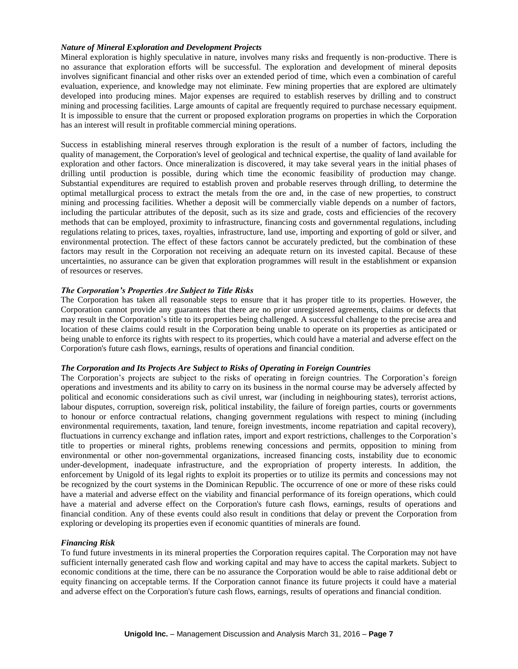### *Nature of Mineral Exploration and Development Projects*

Mineral exploration is highly speculative in nature, involves many risks and frequently is non-productive. There is no assurance that exploration efforts will be successful. The exploration and development of mineral deposits involves significant financial and other risks over an extended period of time, which even a combination of careful evaluation, experience, and knowledge may not eliminate. Few mining properties that are explored are ultimately developed into producing mines. Major expenses are required to establish reserves by drilling and to construct mining and processing facilities. Large amounts of capital are frequently required to purchase necessary equipment. It is impossible to ensure that the current or proposed exploration programs on properties in which the Corporation has an interest will result in profitable commercial mining operations.

Success in establishing mineral reserves through exploration is the result of a number of factors, including the quality of management, the Corporation's level of geological and technical expertise, the quality of land available for exploration and other factors. Once mineralization is discovered, it may take several years in the initial phases of drilling until production is possible, during which time the economic feasibility of production may change. Substantial expenditures are required to establish proven and probable reserves through drilling, to determine the optimal metallurgical process to extract the metals from the ore and, in the case of new properties, to construct mining and processing facilities. Whether a deposit will be commercially viable depends on a number of factors, including the particular attributes of the deposit, such as its size and grade, costs and efficiencies of the recovery methods that can be employed, proximity to infrastructure, financing costs and governmental regulations, including regulations relating to prices, taxes, royalties, infrastructure, land use, importing and exporting of gold or silver, and environmental protection. The effect of these factors cannot be accurately predicted, but the combination of these factors may result in the Corporation not receiving an adequate return on its invested capital. Because of these uncertainties, no assurance can be given that exploration programmes will result in the establishment or expansion of resources or reserves.

### *The Corporation's Properties Are Subject to Title Risks*

The Corporation has taken all reasonable steps to ensure that it has proper title to its properties. However, the Corporation cannot provide any guarantees that there are no prior unregistered agreements, claims or defects that may result in the Corporation's title to its properties being challenged. A successful challenge to the precise area and location of these claims could result in the Corporation being unable to operate on its properties as anticipated or being unable to enforce its rights with respect to its properties, which could have a material and adverse effect on the Corporation's future cash flows, earnings, results of operations and financial condition.

#### *The Corporation and Its Projects Are Subject to Risks of Operating in Foreign Countries*

The Corporation's projects are subject to the risks of operating in foreign countries. The Corporation's foreign operations and investments and its ability to carry on its business in the normal course may be adversely affected by political and economic considerations such as civil unrest, war (including in neighbouring states), terrorist actions, labour disputes, corruption, sovereign risk, political instability, the failure of foreign parties, courts or governments to honour or enforce contractual relations, changing government regulations with respect to mining (including environmental requirements, taxation, land tenure, foreign investments, income repatriation and capital recovery), fluctuations in currency exchange and inflation rates, import and export restrictions, challenges to the Corporation's title to properties or mineral rights, problems renewing concessions and permits, opposition to mining from environmental or other non-governmental organizations, increased financing costs, instability due to economic under-development, inadequate infrastructure, and the expropriation of property interests. In addition, the enforcement by Unigold of its legal rights to exploit its properties or to utilize its permits and concessions may not be recognized by the court systems in the Dominican Republic. The occurrence of one or more of these risks could have a material and adverse effect on the viability and financial performance of its foreign operations, which could have a material and adverse effect on the Corporation's future cash flows, earnings, results of operations and financial condition. Any of these events could also result in conditions that delay or prevent the Corporation from exploring or developing its properties even if economic quantities of minerals are found.

### *Financing Risk*

To fund future investments in its mineral properties the Corporation requires capital. The Corporation may not have sufficient internally generated cash flow and working capital and may have to access the capital markets. Subject to economic conditions at the time, there can be no assurance the Corporation would be able to raise additional debt or equity financing on acceptable terms. If the Corporation cannot finance its future projects it could have a material and adverse effect on the Corporation's future cash flows, earnings, results of operations and financial condition.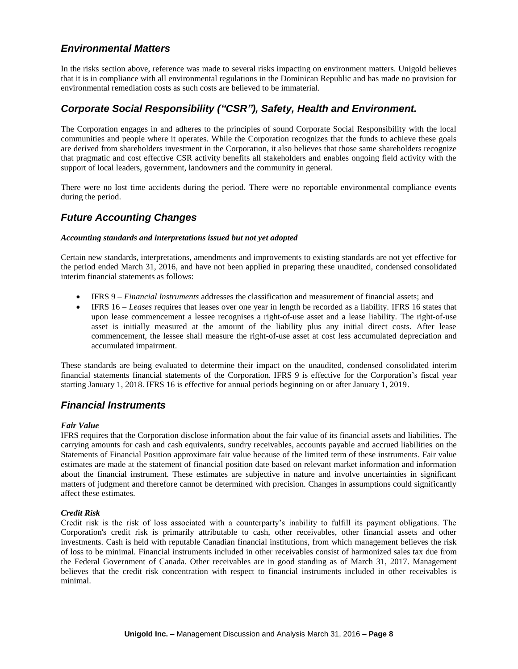## *Environmental Matters*

In the risks section above, reference was made to several risks impacting on environment matters. Unigold believes that it is in compliance with all environmental regulations in the Dominican Republic and has made no provision for environmental remediation costs as such costs are believed to be immaterial.

## *Corporate Social Responsibility ("CSR"), Safety, Health and Environment.*

The Corporation engages in and adheres to the principles of sound Corporate Social Responsibility with the local communities and people where it operates. While the Corporation recognizes that the funds to achieve these goals are derived from shareholders investment in the Corporation, it also believes that those same shareholders recognize that pragmatic and cost effective CSR activity benefits all stakeholders and enables ongoing field activity with the support of local leaders, government, landowners and the community in general.

There were no lost time accidents during the period. There were no reportable environmental compliance events during the period.

### *Future Accounting Changes*

#### *Accounting standards and interpretations issued but not yet adopted*

Certain new standards, interpretations, amendments and improvements to existing standards are not yet effective for the period ended March 31, 2016, and have not been applied in preparing these unaudited, condensed consolidated interim financial statements as follows:

- IFRS 9 *Financial Instruments* addresses the classification and measurement of financial assets; and
- IFRS 16 *Leases* requires that leases over one year in length be recorded as a liability. IFRS 16 states that upon lease commencement a lessee recognises a right-of-use asset and a lease liability. The right-of-use asset is initially measured at the amount of the liability plus any initial direct costs. After lease commencement, the lessee shall measure the right-of-use asset at cost less accumulated depreciation and accumulated impairment.

These standards are being evaluated to determine their impact on the unaudited, condensed consolidated interim financial statements financial statements of the Corporation. IFRS 9 is effective for the Corporation's fiscal year starting January 1, 2018. IFRS 16 is effective for annual periods beginning on or after January 1, 2019.

### *Financial Instruments*

#### *Fair Value*

IFRS requires that the Corporation disclose information about the fair value of its financial assets and liabilities. The carrying amounts for cash and cash equivalents, sundry receivables, accounts payable and accrued liabilities on the Statements of Financial Position approximate fair value because of the limited term of these instruments. Fair value estimates are made at the statement of financial position date based on relevant market information and information about the financial instrument. These estimates are subjective in nature and involve uncertainties in significant matters of judgment and therefore cannot be determined with precision. Changes in assumptions could significantly affect these estimates.

#### *Credit Risk*

Credit risk is the risk of loss associated with a counterparty's inability to fulfill its payment obligations. The Corporation's credit risk is primarily attributable to cash, other receivables, other financial assets and other investments. Cash is held with reputable Canadian financial institutions, from which management believes the risk of loss to be minimal. Financial instruments included in other receivables consist of harmonized sales tax due from the Federal Government of Canada. Other receivables are in good standing as of March 31, 2017. Management believes that the credit risk concentration with respect to financial instruments included in other receivables is minimal.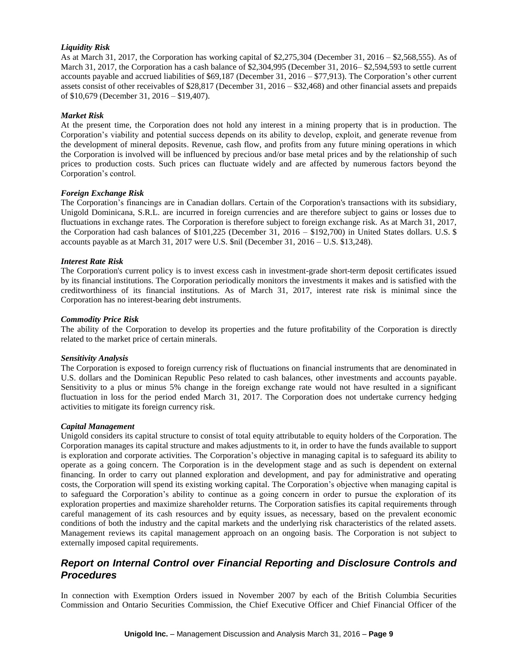### *Liquidity Risk*

As at March 31, 2017, the Corporation has working capital of \$2,275,304 (December 31, 2016 – \$2,568,555). As of March 31, 2017, the Corporation has a cash balance of \$2,304,995 (December 31, 2016– \$2,594,593 to settle current accounts payable and accrued liabilities of \$69,187 (December 31, 2016 – \$77,913). The Corporation's other current assets consist of other receivables of \$28,817 (December 31, 2016 – \$32,468) and other financial assets and prepaids of \$10,679 (December 31, 2016 – \$19,407).

#### *Market Risk*

At the present time, the Corporation does not hold any interest in a mining property that is in production. The Corporation's viability and potential success depends on its ability to develop, exploit, and generate revenue from the development of mineral deposits. Revenue, cash flow, and profits from any future mining operations in which the Corporation is involved will be influenced by precious and/or base metal prices and by the relationship of such prices to production costs. Such prices can fluctuate widely and are affected by numerous factors beyond the Corporation's control.

#### *Foreign Exchange Risk*

The Corporation's financings are in Canadian dollars. Certain of the Corporation's transactions with its subsidiary, Unigold Dominicana, S.R.L. are incurred in foreign currencies and are therefore subject to gains or losses due to fluctuations in exchange rates. The Corporation is therefore subject to foreign exchange risk. As at March 31, 2017, the Corporation had cash balances of \$101,225 (December 31, 2016 – \$192,700) in United States dollars. U.S. \$ accounts payable as at March 31, 2017 were U.S. \$nil (December 31, 2016 – U.S. \$13,248).

#### *Interest Rate Risk*

The Corporation's current policy is to invest excess cash in investment-grade short-term deposit certificates issued by its financial institutions. The Corporation periodically monitors the investments it makes and is satisfied with the creditworthiness of its financial institutions. As of March 31, 2017, interest rate risk is minimal since the Corporation has no interest-bearing debt instruments.

#### *Commodity Price Risk*

The ability of the Corporation to develop its properties and the future profitability of the Corporation is directly related to the market price of certain minerals.

#### *Sensitivity Analysis*

The Corporation is exposed to foreign currency risk of fluctuations on financial instruments that are denominated in U.S. dollars and the Dominican Republic Peso related to cash balances, other investments and accounts payable. Sensitivity to a plus or minus 5% change in the foreign exchange rate would not have resulted in a significant fluctuation in loss for the period ended March 31, 2017. The Corporation does not undertake currency hedging activities to mitigate its foreign currency risk.

#### *Capital Management*

Unigold considers its capital structure to consist of total equity attributable to equity holders of the Corporation. The Corporation manages its capital structure and makes adjustments to it, in order to have the funds available to support is exploration and corporate activities. The Corporation's objective in managing capital is to safeguard its ability to operate as a going concern. The Corporation is in the development stage and as such is dependent on external financing. In order to carry out planned exploration and development, and pay for administrative and operating costs, the Corporation will spend its existing working capital. The Corporation's objective when managing capital is to safeguard the Corporation's ability to continue as a going concern in order to pursue the exploration of its exploration properties and maximize shareholder returns. The Corporation satisfies its capital requirements through careful management of its cash resources and by equity issues, as necessary, based on the prevalent economic conditions of both the industry and the capital markets and the underlying risk characteristics of the related assets. Management reviews its capital management approach on an ongoing basis. The Corporation is not subject to externally imposed capital requirements.

## *Report on Internal Control over Financial Reporting and Disclosure Controls and Procedures*

In connection with Exemption Orders issued in November 2007 by each of the British Columbia Securities Commission and Ontario Securities Commission, the Chief Executive Officer and Chief Financial Officer of the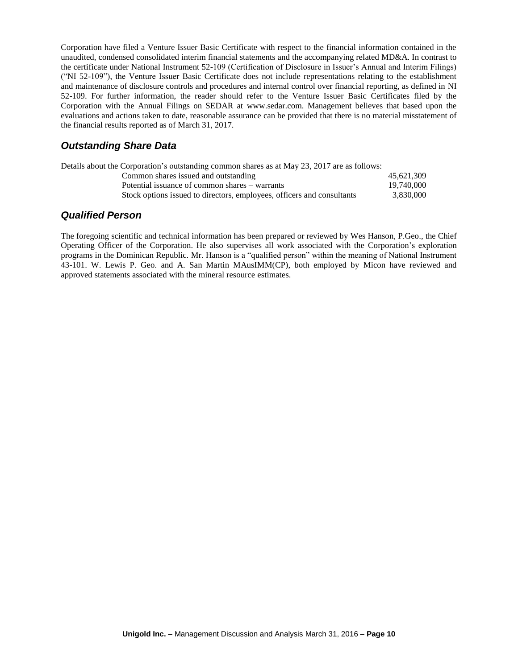Corporation have filed a Venture Issuer Basic Certificate with respect to the financial information contained in the unaudited, condensed consolidated interim financial statements and the accompanying related MD&A. In contrast to the certificate under National Instrument 52-109 (Certification of Disclosure in Issuer's Annual and Interim Filings) ("NI 52-109"), the Venture Issuer Basic Certificate does not include representations relating to the establishment and maintenance of disclosure controls and procedures and internal control over financial reporting, as defined in NI 52-109. For further information, the reader should refer to the Venture Issuer Basic Certificates filed by the Corporation with the Annual Filings on SEDAR at www.sedar.com. Management believes that based upon the evaluations and actions taken to date, reasonable assurance can be provided that there is no material misstatement of the financial results reported as of March 31, 2017.

## *Outstanding Share Data*

| Details about the Corporation's outstanding common shares as at May 23, 2017 are as follows: |            |
|----------------------------------------------------------------------------------------------|------------|
| Common shares issued and outstanding                                                         | 45.621.309 |
| Potential issuance of common shares – warrants                                               | 19,740,000 |
| Stock options issued to directors, employees, officers and consultants                       | 3.830.000  |

## *Qualified Person*

The foregoing scientific and technical information has been prepared or reviewed by Wes Hanson, P.Geo., the Chief Operating Officer of the Corporation. He also supervises all work associated with the Corporation's exploration programs in the Dominican Republic. Mr. Hanson is a "qualified person" within the meaning of National Instrument 43-101. W. Lewis P. Geo. and A. San Martin MAusIMM(CP), both employed by Micon have reviewed and approved statements associated with the mineral resource estimates.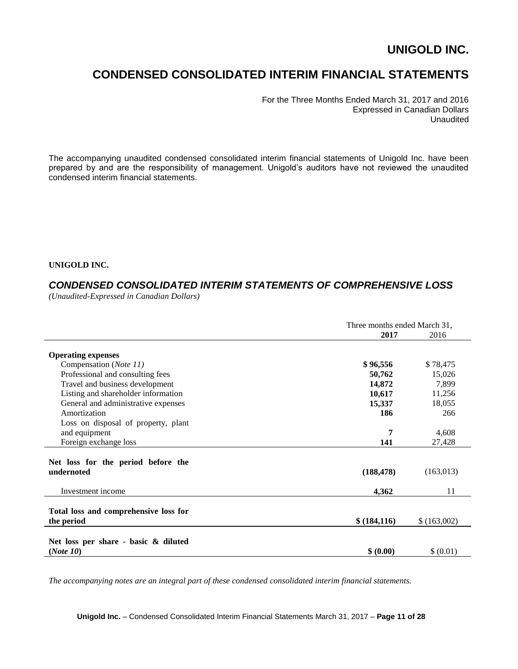# **CONDENSED CONSOLIDATED INTERIM FINANCIAL STATEMENTS**

For the Three Months Ended March 31, 2017 and 2016 Expressed in Canadian Dollars Unaudited

The accompanying unaudited condensed consolidated interim financial statements of Unigold Inc. have been prepared by and are the responsibility of management. Unigold's auditors have not reviewed the unaudited condensed interim financial statements.

### **UNIGOLD INC.**

## *CONDENSED CONSOLIDATED INTERIM STATEMENTS OF COMPREHENSIVE LOSS*

*(Unaudited-Expressed in Canadian Dollars)* 

|                                       | Three months ended March 31, |             |
|---------------------------------------|------------------------------|-------------|
|                                       | 2017                         | 2016        |
|                                       |                              |             |
| <b>Operating expenses</b>             |                              |             |
| Compensation (Note 11)                | \$96,556                     | \$78,475    |
| Professional and consulting fees      | 50,762                       | 15,026      |
| Travel and business development       | 14,872                       | 7,899       |
| Listing and shareholder information   | 10,617                       | 11,256      |
| General and administrative expenses   | 15,337                       | 18,055      |
| Amortization                          | 186                          | 266         |
| Loss on disposal of property, plant   |                              |             |
| and equipment                         | 7                            | 4,608       |
| Foreign exchange loss                 | 141                          | 27,428      |
|                                       |                              |             |
| Net loss for the period before the    |                              |             |
| undernoted                            | (188, 478)                   | (163, 013)  |
| Investment income                     | 4,362                        | 11          |
|                                       |                              |             |
| Total loss and comprehensive loss for |                              |             |
| the period                            | \$ (184, 116)                | \$(163,002) |
|                                       |                              |             |
| Net loss per share - basic & diluted  |                              |             |
| (Note 10)                             | \$ (0.00)                    | \$ (0.01)   |
|                                       |                              |             |

*The accompanying notes are an integral part of these condensed consolidated interim financial statements.*

**Unigold Inc.** – Condensed Consolidated Interim Financial Statements March 31, 2017 – **Page 11 of 28**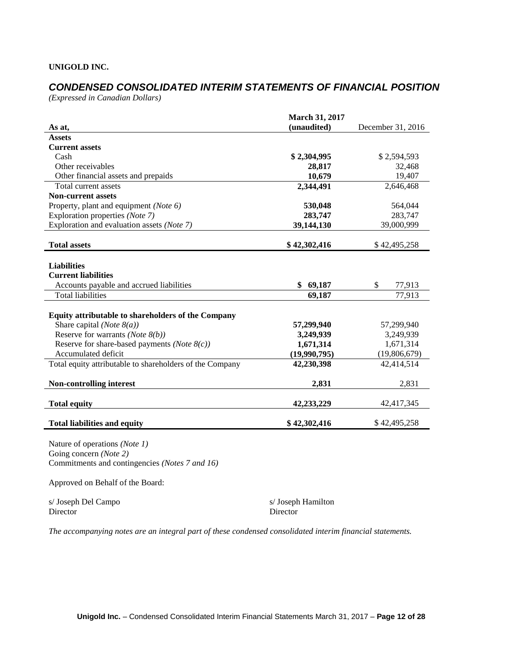## *CONDENSED CONSOLIDATED INTERIM STATEMENTS OF FINANCIAL POSITION*

*(Expressed in Canadian Dollars)*

|                                                                                                           | <b>March 31, 2017</b> |                   |
|-----------------------------------------------------------------------------------------------------------|-----------------------|-------------------|
| As at,                                                                                                    | (unaudited)           | December 31, 2016 |
| <b>Assets</b>                                                                                             |                       |                   |
| <b>Current assets</b>                                                                                     |                       |                   |
| Cash                                                                                                      | \$2,304,995           | \$2,594,593       |
| Other receivables                                                                                         | 28,817                | 32,468            |
| Other financial assets and prepaids                                                                       | 10,679                | 19,407            |
| Total current assets                                                                                      | 2,344,491             | 2,646,468         |
| <b>Non-current assets</b>                                                                                 |                       |                   |
| Property, plant and equipment (Note 6)                                                                    | 530,048               | 564,044           |
| Exploration properties (Note 7)                                                                           | 283,747               | 283,747           |
| Exploration and evaluation assets (Note 7)                                                                | 39,144,130            | 39,000,999        |
| <b>Total assets</b>                                                                                       | \$42,302,416          | \$42,495,258      |
| <b>Liabilities</b><br><b>Current liabilities</b>                                                          |                       |                   |
| Accounts payable and accrued liabilities                                                                  | \$69,187              | \$<br>77,913      |
| <b>Total liabilities</b>                                                                                  | 69,187                | 77,913            |
| Equity attributable to shareholders of the Company                                                        |                       |                   |
| Share capital (Note $8(a)$ )                                                                              | 57,299,940            | 57,299,940        |
| Reserve for warrants (Note $8(b)$ )                                                                       | 3,249,939             | 3,249,939         |
| Reserve for share-based payments ( <i>Note</i> $8(c)$ )                                                   | 1,671,314             | 1,671,314         |
| Accumulated deficit                                                                                       | (19,990,795)          | (19,806,679)      |
| Total equity attributable to shareholders of the Company                                                  | 42,230,398            | 42,414,514        |
| <b>Non-controlling interest</b>                                                                           | 2,831                 | 2,831             |
| <b>Total equity</b>                                                                                       | 42,233,229            | 42,417,345        |
| <b>Total liabilities and equity</b>                                                                       | \$42,302,416          | \$42,495,258      |
| Nature of operations (Note 1)<br>Going concern (Note 2)<br>Commitments and contingencies (Notes 7 and 16) |                       |                   |

Approved on Behalf of the Board:

s/ Joseph Del Campo s/ Joseph Hamilton Director Director Director

*The accompanying notes are an integral part of these condensed consolidated interim financial statements.*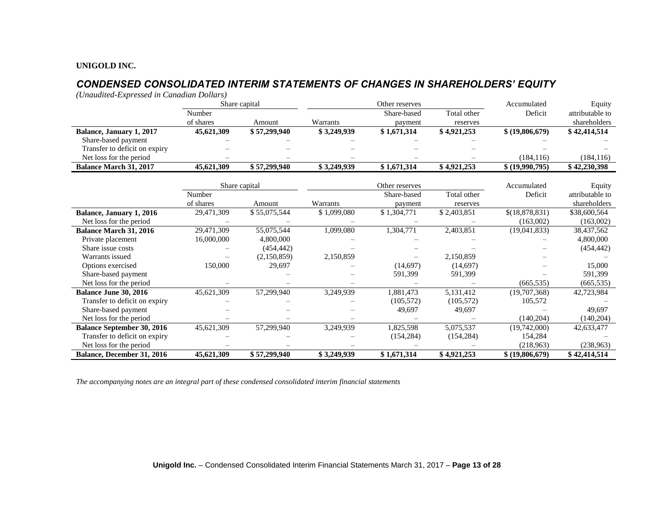## *CONDENSED CONSOLIDATED INTERIM STATEMENTS OF CHANGES IN SHAREHOLDERS' EQUITY*

*(Unaudited-Expressed in Canadian Dollars)*

|                                   |            | Share capital |             | Other reserves |             | Accumulated     | Equity          |
|-----------------------------------|------------|---------------|-------------|----------------|-------------|-----------------|-----------------|
|                                   | Number     |               |             | Share-based    | Total other | Deficit         | attributable to |
|                                   | of shares  | Amount        | Warrants    | payment        | reserves    |                 | shareholders    |
| Balance, January 1, 2017          | 45,621,309 | \$57,299,940  | \$3,249,939 | \$1,671,314    | \$4,921,253 | \$ (19,806,679) | \$42,414,514    |
| Share-based payment               |            |               |             |                |             |                 |                 |
| Transfer to deficit on expiry     |            |               |             |                |             |                 |                 |
| Net loss for the period           |            |               |             |                |             | (184, 116)      | (184, 116)      |
| <b>Balance March 31, 2017</b>     | 45,621,309 | \$57,299,940  | \$3,249,939 | \$1,671,314    | \$4,921,253 | \$ (19,990,795) | \$42,230,398    |
|                                   |            | Share capital |             | Other reserves |             | Accumulated     | Equity          |
|                                   | Number     |               |             | Share-based    | Total other | Deficit         | attributable to |
|                                   | of shares  | Amount        | Warrants    | payment        | reserves    |                 | shareholders    |
| <b>Balance, January 1, 2016</b>   | 29,471,309 | \$55,075,544  | \$1,099,080 | \$1,304,771    | \$2,403,851 | \$(18,878,831)  | \$38,600,564    |
| Net loss for the period           |            |               |             |                |             | (163,002)       | (163,002)       |
| <b>Balance March 31, 2016</b>     | 29,471,309 | 55,075,544    | 1,099,080   | 1,304,771      | 2,403,851   | (19,041,833)    | 38,437,562      |
| Private placement                 | 16,000,000 | 4,800,000     |             |                |             |                 | 4,800,000       |
| Share issue costs                 |            | (454, 442)    |             |                |             |                 | (454, 442)      |
| Warrants issued                   |            | (2,150,859)   | 2,150,859   |                | 2,150,859   |                 |                 |
| Options exercised                 | 150,000    | 29,697        |             | (14,697)       | (14,697)    |                 | 15,000          |
| Share-based payment               |            |               |             | 591,399        | 591,399     |                 | 591,399         |
| Net loss for the period           |            |               |             |                |             | (665.535)       | (665, 535)      |
| <b>Balance June 30, 2016</b>      | 45,621,309 | 57,299,940    | 3,249,939   | 1,881,473      | 5,131,412   | (19,707,368)    | 42,723,984      |
| Transfer to deficit on expiry     |            |               |             | (105, 572)     | (105, 572)  | 105,572         |                 |
| Share-based payment               |            |               |             | 49,697         | 49,697      |                 | 49.697          |
| Net loss for the period           |            |               |             |                |             | (140, 204)      | (140, 204)      |
| <b>Balance September 30, 2016</b> | 45,621,309 | 57,299,940    | 3,249,939   | 1,825,598      | 5,075,537   | (19,742,000)    | 42,633,477      |
| Transfer to deficit on expiry     |            |               |             | (154, 284)     | (154, 284)  | 154,284         |                 |
| Net loss for the period           |            |               |             |                |             | (218,963)       | (238,963)       |
| Balance, December 31, 2016        | 45,621,309 | \$57,299,940  | \$3,249,939 | \$1,671,314    | \$4,921,253 | \$ (19,806,679) | \$42,414,514    |

*The accompanying notes are an integral part of these condensed consolidated interim financial statements*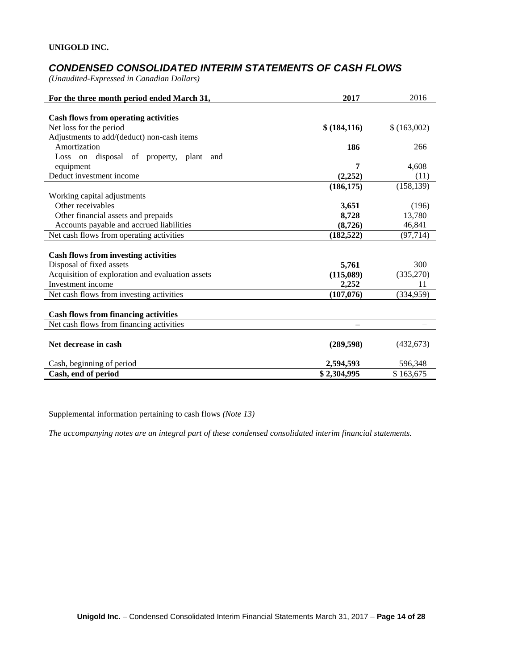## *CONDENSED CONSOLIDATED INTERIM STATEMENTS OF CASH FLOWS*

*(Unaudited-Expressed in Canadian Dollars)* 

| For the three month period ended March 31,       | 2017         | 2016        |
|--------------------------------------------------|--------------|-------------|
|                                                  |              |             |
| Cash flows from operating activities             |              |             |
| Net loss for the period                          | \$(184, 116) | \$(163,002) |
| Adjustments to add/(deduct) non-cash items       |              |             |
| Amortization                                     | 186          | 266         |
| Loss on disposal of property, plant and          |              |             |
| equipment                                        | 7            | 4,608       |
| Deduct investment income                         | (2, 252)     | (11)        |
|                                                  | (186, 175)   | (158, 139)  |
| Working capital adjustments                      |              |             |
| Other receivables                                | 3,651        | (196)       |
| Other financial assets and prepaids              | 8,728        | 13,780      |
| Accounts payable and accrued liabilities         | (8,726)      | 46,841      |
| Net cash flows from operating activities         | (182, 522)   | (97, 714)   |
|                                                  |              |             |
| <b>Cash flows from investing activities</b>      |              |             |
| Disposal of fixed assets                         | 5,761        | 300         |
| Acquisition of exploration and evaluation assets | (115,089)    | (335,270)   |
| Investment income                                | 2,252        | 11          |
| Net cash flows from investing activities         | (107,076)    | (334,959)   |
|                                                  |              |             |
| <b>Cash flows from financing activities</b>      |              |             |
| Net cash flows from financing activities         |              |             |
| Net decrease in cash                             | (289, 598)   | (432, 673)  |
|                                                  |              |             |
| Cash, beginning of period                        | 2,594,593    | 596,348     |
| Cash, end of period                              | \$2,304,995  | \$163,675   |

Supplemental information pertaining to cash flows *(Note 13)*

*The accompanying notes are an integral part of these condensed consolidated interim financial statements.*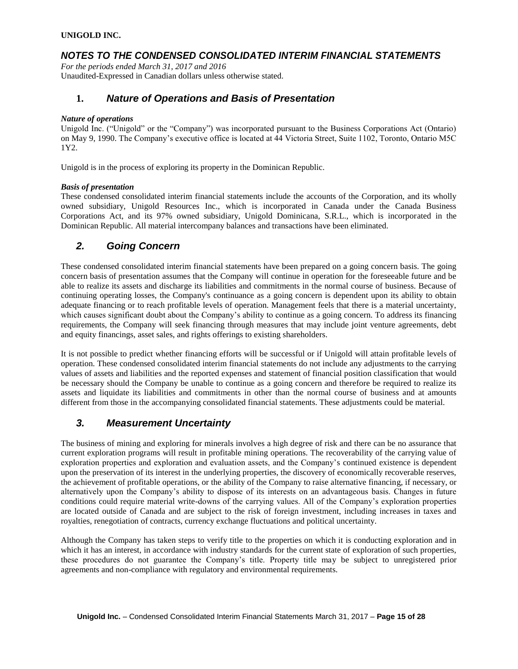## *NOTES TO THE CONDENSED CONSOLIDATED INTERIM FINANCIAL STATEMENTS*

*For the periods ended March 31, 2017 and 2016* Unaudited-Expressed in Canadian dollars unless otherwise stated.

### **1.** *Nature of Operations and Basis of Presentation*

### *Nature of operations*

Unigold Inc. ("Unigold" or the "Company") was incorporated pursuant to the Business Corporations Act (Ontario) on May 9, 1990. The Company's executive office is located at 44 Victoria Street, Suite 1102, Toronto, Ontario M5C 1Y2.

Unigold is in the process of exploring its property in the Dominican Republic.

### *Basis of presentation*

These condensed consolidated interim financial statements include the accounts of the Corporation, and its wholly owned subsidiary, Unigold Resources Inc., which is incorporated in Canada under the Canada Business Corporations Act, and its 97% owned subsidiary, Unigold Dominicana, S.R.L., which is incorporated in the Dominican Republic. All material intercompany balances and transactions have been eliminated.

## *2. Going Concern*

These condensed consolidated interim financial statements have been prepared on a going concern basis. The going concern basis of presentation assumes that the Company will continue in operation for the foreseeable future and be able to realize its assets and discharge its liabilities and commitments in the normal course of business. Because of continuing operating losses, the Company's continuance as a going concern is dependent upon its ability to obtain adequate financing or to reach profitable levels of operation. Management feels that there is a material uncertainty, which causes significant doubt about the Company's ability to continue as a going concern. To address its financing requirements, the Company will seek financing through measures that may include joint venture agreements, debt and equity financings, asset sales, and rights offerings to existing shareholders.

It is not possible to predict whether financing efforts will be successful or if Unigold will attain profitable levels of operation. These condensed consolidated interim financial statements do not include any adjustments to the carrying values of assets and liabilities and the reported expenses and statement of financial position classification that would be necessary should the Company be unable to continue as a going concern and therefore be required to realize its assets and liquidate its liabilities and commitments in other than the normal course of business and at amounts different from those in the accompanying consolidated financial statements. These adjustments could be material.

### *3. Measurement Uncertainty*

The business of mining and exploring for minerals involves a high degree of risk and there can be no assurance that current exploration programs will result in profitable mining operations. The recoverability of the carrying value of exploration properties and exploration and evaluation assets, and the Company's continued existence is dependent upon the preservation of its interest in the underlying properties, the discovery of economically recoverable reserves, the achievement of profitable operations, or the ability of the Company to raise alternative financing, if necessary, or alternatively upon the Company's ability to dispose of its interests on an advantageous basis. Changes in future conditions could require material write-downs of the carrying values. All of the Company's exploration properties are located outside of Canada and are subject to the risk of foreign investment, including increases in taxes and royalties, renegotiation of contracts, currency exchange fluctuations and political uncertainty.

Although the Company has taken steps to verify title to the properties on which it is conducting exploration and in which it has an interest, in accordance with industry standards for the current state of exploration of such properties, these procedures do not guarantee the Company's title. Property title may be subject to unregistered prior agreements and non-compliance with regulatory and environmental requirements.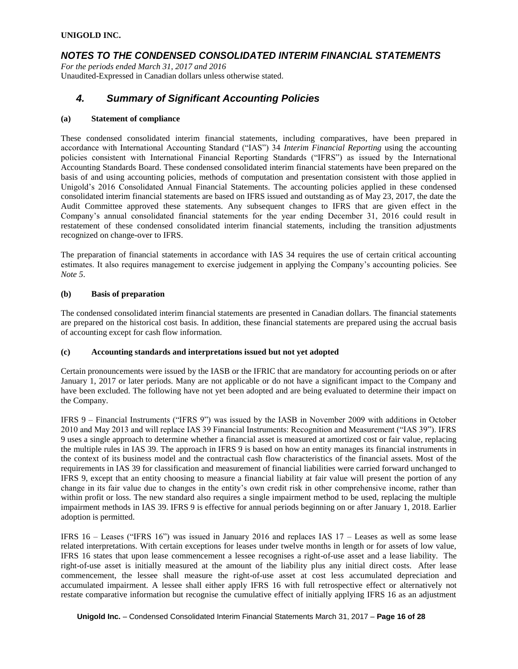### *NOTES TO THE CONDENSED CONSOLIDATED INTERIM FINANCIAL STATEMENTS*

*For the periods ended March 31, 2017 and 2016* Unaudited-Expressed in Canadian dollars unless otherwise stated.

## *4. Summary of Significant Accounting Policies*

### **(a) Statement of compliance**

These condensed consolidated interim financial statements, including comparatives, have been prepared in accordance with International Accounting Standard ("IAS") 34 *Interim Financial Reporting* using the accounting policies consistent with International Financial Reporting Standards ("IFRS") as issued by the International Accounting Standards Board. These condensed consolidated interim financial statements have been prepared on the basis of and using accounting policies, methods of computation and presentation consistent with those applied in Unigold's 2016 Consolidated Annual Financial Statements. The accounting policies applied in these condensed consolidated interim financial statements are based on IFRS issued and outstanding as of May 23, 2017, the date the Audit Committee approved these statements. Any subsequent changes to IFRS that are given effect in the Company's annual consolidated financial statements for the year ending December 31, 2016 could result in restatement of these condensed consolidated interim financial statements, including the transition adjustments recognized on change-over to IFRS.

The preparation of financial statements in accordance with IAS 34 requires the use of certain critical accounting estimates. It also requires management to exercise judgement in applying the Company's accounting policies. See *Note 5*.

### **(b) Basis of preparation**

The condensed consolidated interim financial statements are presented in Canadian dollars. The financial statements are prepared on the historical cost basis. In addition, these financial statements are prepared using the accrual basis of accounting except for cash flow information.

#### **(c) Accounting standards and interpretations issued but not yet adopted**

Certain pronouncements were issued by the IASB or the IFRIC that are mandatory for accounting periods on or after January 1, 2017 or later periods. Many are not applicable or do not have a significant impact to the Company and have been excluded. The following have not yet been adopted and are being evaluated to determine their impact on the Company.

IFRS 9 – Financial Instruments ("IFRS 9") was issued by the IASB in November 2009 with additions in October 2010 and May 2013 and will replace IAS 39 Financial Instruments: Recognition and Measurement ("IAS 39"). IFRS 9 uses a single approach to determine whether a financial asset is measured at amortized cost or fair value, replacing the multiple rules in IAS 39. The approach in IFRS 9 is based on how an entity manages its financial instruments in the context of its business model and the contractual cash flow characteristics of the financial assets. Most of the requirements in IAS 39 for classification and measurement of financial liabilities were carried forward unchanged to IFRS 9, except that an entity choosing to measure a financial liability at fair value will present the portion of any change in its fair value due to changes in the entity's own credit risk in other comprehensive income, rather than within profit or loss. The new standard also requires a single impairment method to be used, replacing the multiple impairment methods in IAS 39. IFRS 9 is effective for annual periods beginning on or after January 1, 2018. Earlier adoption is permitted.

IFRS 16 – Leases ("IFRS 16") was issued in January 2016 and replaces IAS 17 – Leases as well as some lease related interpretations. With certain exceptions for leases under twelve months in length or for assets of low value, IFRS 16 states that upon lease commencement a lessee recognises a right-of-use asset and a lease liability. The right-of-use asset is initially measured at the amount of the liability plus any initial direct costs. After lease commencement, the lessee shall measure the right-of-use asset at cost less accumulated depreciation and accumulated impairment. A lessee shall either apply IFRS 16 with full retrospective effect or alternatively not restate comparative information but recognise the cumulative effect of initially applying IFRS 16 as an adjustment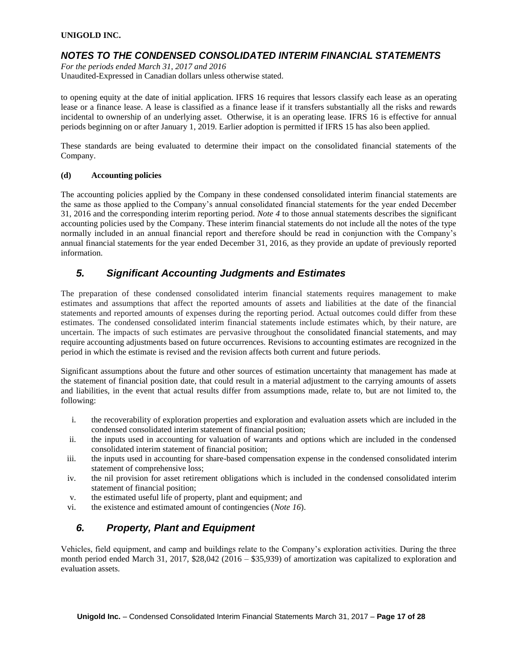## *NOTES TO THE CONDENSED CONSOLIDATED INTERIM FINANCIAL STATEMENTS*

*For the periods ended March 31, 2017 and 2016* Unaudited-Expressed in Canadian dollars unless otherwise stated.

to opening equity at the date of initial application. IFRS 16 requires that lessors classify each lease as an operating lease or a finance lease. A lease is classified as a finance lease if it transfers substantially all the risks and rewards incidental to ownership of an underlying asset. Otherwise, it is an operating lease. IFRS 16 is effective for annual periods beginning on or after January 1, 2019. Earlier adoption is permitted if IFRS 15 has also been applied.

These standards are being evaluated to determine their impact on the consolidated financial statements of the Company.

### **(d) Accounting policies**

The accounting policies applied by the Company in these condensed consolidated interim financial statements are the same as those applied to the Company's annual consolidated financial statements for the year ended December 31, 2016 and the corresponding interim reporting period. *Note 4* to those annual statements describes the significant accounting policies used by the Company. These interim financial statements do not include all the notes of the type normally included in an annual financial report and therefore should be read in conjunction with the Company's annual financial statements for the year ended December 31, 2016, as they provide an update of previously reported information.

## *5. Significant Accounting Judgments and Estimates*

The preparation of these condensed consolidated interim financial statements requires management to make estimates and assumptions that affect the reported amounts of assets and liabilities at the date of the financial statements and reported amounts of expenses during the reporting period. Actual outcomes could differ from these estimates. The condensed consolidated interim financial statements include estimates which, by their nature, are uncertain. The impacts of such estimates are pervasive throughout the consolidated financial statements, and may require accounting adjustments based on future occurrences. Revisions to accounting estimates are recognized in the period in which the estimate is revised and the revision affects both current and future periods.

Significant assumptions about the future and other sources of estimation uncertainty that management has made at the statement of financial position date, that could result in a material adjustment to the carrying amounts of assets and liabilities, in the event that actual results differ from assumptions made, relate to, but are not limited to, the following:

- i. the recoverability of exploration properties and exploration and evaluation assets which are included in the condensed consolidated interim statement of financial position;
- ii. the inputs used in accounting for valuation of warrants and options which are included in the condensed consolidated interim statement of financial position;
- iii. the inputs used in accounting for share-based compensation expense in the condensed consolidated interim statement of comprehensive loss;
- iv. the nil provision for asset retirement obligations which is included in the condensed consolidated interim statement of financial position;
- v. the estimated useful life of property, plant and equipment; and
- vi. the existence and estimated amount of contingencies (*Note 16*).

## *6. Property, Plant and Equipment*

Vehicles, field equipment, and camp and buildings relate to the Company's exploration activities. During the three month period ended March 31, 2017, \$28,042 (2016 – \$35,939) of amortization was capitalized to exploration and evaluation assets.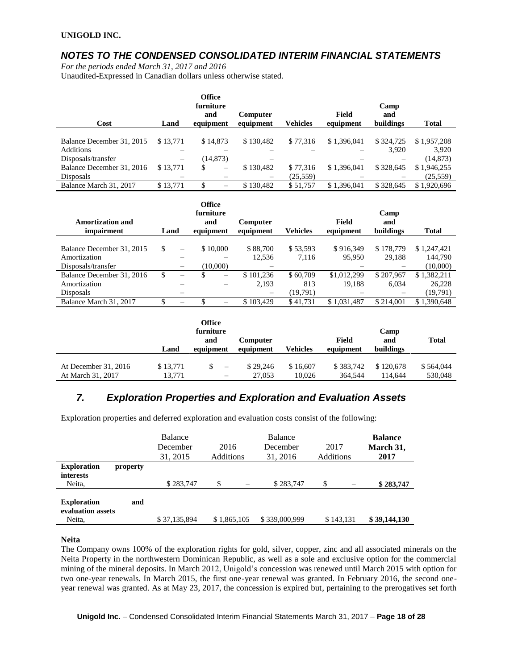## *NOTES TO THE CONDENSED CONSOLIDATED INTERIM FINANCIAL STATEMENTS*

*For the periods ended March 31, 2017 and 2016*

Unaudited-Expressed in Canadian dollars unless otherwise stated.

| Cost                      | Land     | <b>Office</b><br>furniture<br>and<br>equipment | <b>Computer</b><br>equipment | <b>Vehicles</b> | Field<br>equipment | Camp<br>and<br>buildings | <b>Total</b> |
|---------------------------|----------|------------------------------------------------|------------------------------|-----------------|--------------------|--------------------------|--------------|
|                           |          |                                                |                              |                 |                    |                          |              |
| Balance December 31, 2015 | \$13,771 | \$14,873                                       | \$130.482                    | \$77,316        | \$1,396,041        | \$324,725                | \$1,957,208  |
| <b>Additions</b>          |          |                                                |                              |                 |                    | 3.920                    | 3.920        |
| Disposals/transfer        | $\equiv$ | (14, 873)                                      | –                            |                 |                    |                          | (14, 873)    |
| Balance December 31, 2016 | \$13,771 | \$<br>$\qquad \qquad \longleftarrow$           | \$130,482                    | \$77,316        | \$1,396,041        | \$328,645                | \$1,946,255  |
| <b>Disposals</b>          |          |                                                |                              | (25, 559)       |                    |                          | (25, 559)    |
| Balance March 31, 2017    | \$13,771 | S<br>$\qquad \qquad \longleftarrow$            | \$130.482                    | \$51,757        | \$1,396,041        | \$328,645                | \$1,920,696  |

| <b>Amortization and</b><br><i>impairment</i> | Land |                          | <b>Office</b><br>furniture<br>and<br>equipment | Computer<br>equipment    | <b>Vehicles</b> | Field<br>equipment | Camp<br>and<br>buildings | <b>Total</b> |
|----------------------------------------------|------|--------------------------|------------------------------------------------|--------------------------|-----------------|--------------------|--------------------------|--------------|
|                                              |      |                          |                                                |                          |                 |                    |                          |              |
| Balance December 31, 2015                    | \$   | $\overline{\phantom{0}}$ | \$10,000                                       | \$88,700                 | \$53,593        | \$916,349          | \$178,779                | \$1,247,421  |
| Amortization                                 |      |                          |                                                | 12.536                   | 7,116           | 95.950             | 29,188                   | 144.790      |
| Disposals/transfer                           |      |                          | (10,000)                                       |                          |                 |                    |                          | (10,000)     |
| Balance December 31, 2016                    | \$   | $\overline{\phantom{m}}$ | S<br>-                                         | \$101.236                | \$60,709        | \$1,012,299        | \$207,967                | \$1,382,211  |
| Amortization                                 |      |                          |                                                | 2,193                    | 813             | 19.188             | 6,034                    | 26,228       |
| <b>Disposals</b>                             |      |                          |                                                | $\overline{\phantom{0}}$ | (19.791)        |                    |                          | (19,791)     |
| Balance March 31, 2017                       |      |                          | —                                              | \$103.429                | \$41,731        | \$1.031.487        | \$214,001                | \$1,390,648  |

|                                             |                    | Office<br>furniture<br>and | Computer           |                    | Field                | Camp<br>and          | <b>Total</b>         |
|---------------------------------------------|--------------------|----------------------------|--------------------|--------------------|----------------------|----------------------|----------------------|
|                                             | Land               | equipment                  | equipment          | <b>Vehicles</b>    | equipment            | buildings            |                      |
| At December $31, 2016$<br>At March 31, 2017 | \$13.771<br>13.771 | \$<br>$\sim$<br>-          | \$29,246<br>27,053 | \$16,607<br>10.026 | \$383,742<br>364.544 | \$120,678<br>114.644 | \$564,044<br>530,048 |

## *7. Exploration Properties and Exploration and Evaluation Assets*

Exploration properties and deferred exploration and evaluation costs consist of the following:

|                                                   |          | Balance<br>December<br>31, 2015 | 2016<br><b>Additions</b> | <b>Balance</b><br>December<br>31, 2016 | 2017<br>Additions | <b>Balance</b><br>March 31,<br>2017 |
|---------------------------------------------------|----------|---------------------------------|--------------------------|----------------------------------------|-------------------|-------------------------------------|
| <b>Exploration</b><br><b>interests</b>            | property |                                 |                          |                                        |                   |                                     |
| Neita,                                            |          | \$283,747                       | \$                       | \$283,747                              | \$                | \$283,747                           |
| <b>Exploration</b><br>evaluation assets<br>Neita, | and      | \$37,135,894                    | \$1,865,105              | \$339,000,999                          | \$143,131         | \$39,144,130                        |

**Neita**

The Company owns 100% of the exploration rights for gold, silver, copper, zinc and all associated minerals on the Neita Property in the northwestern Dominican Republic, as well as a sole and exclusive option for the commercial mining of the mineral deposits. In March 2012, Unigold's concession was renewed until March 2015 with option for two one-year renewals. In March 2015, the first one-year renewal was granted. In February 2016, the second oneyear renewal was granted. As at May 23, 2017, the concession is expired but, pertaining to the prerogatives set forth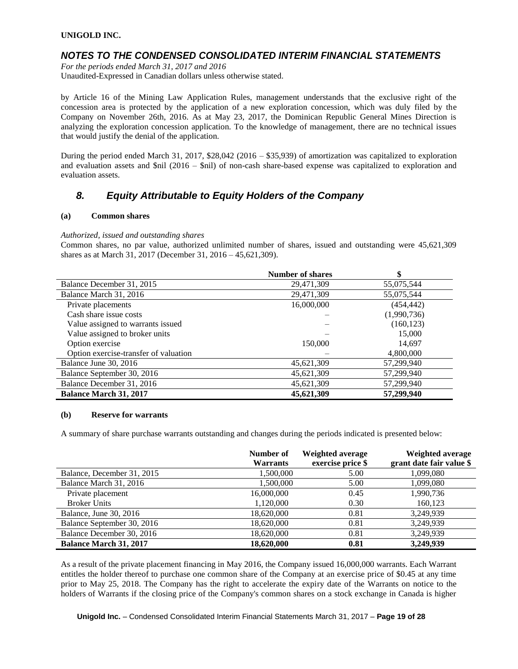### *NOTES TO THE CONDENSED CONSOLIDATED INTERIM FINANCIAL STATEMENTS*

*For the periods ended March 31, 2017 and 2016* Unaudited-Expressed in Canadian dollars unless otherwise stated.

by Article 16 of the Mining Law Application Rules, management understands that the exclusive right of the concession area is protected by the application of a new exploration concession, which was duly filed by the Company on November 26th, 2016. As at May 23, 2017, the Dominican Republic General Mines Direction is analyzing the exploration concession application. To the knowledge of management, there are no technical issues that would justify the denial of the application.

During the period ended March 31, 2017, \$28,042 (2016 – \$35,939) of amortization was capitalized to exploration and evaluation assets and \$nil (2016 – \$nil) of non-cash share-based expense was capitalized to exploration and evaluation assets.

## *8. Equity Attributable to Equity Holders of the Company*

### **(a) Common shares**

### *Authorized, issued and outstanding shares*

Common shares, no par value, authorized unlimited number of shares, issued and outstanding were 45,621,309 shares as at March 31, 2017 (December 31, 2016 – 45,621,309).

|                                       | <b>Number of shares</b> |             |
|---------------------------------------|-------------------------|-------------|
| Balance December 31, 2015             | 29,471,309              | 55,075,544  |
| Balance March 31, 2016                | 29,471,309              | 55,075,544  |
| Private placements                    | 16,000,000              | (454, 442)  |
| Cash share issue costs                |                         | (1,990,736) |
| Value assigned to warrants issued     |                         | (160, 123)  |
| Value assigned to broker units        |                         | 15,000      |
| Option exercise                       | 150,000                 | 14,697      |
| Option exercise-transfer of valuation |                         | 4,800,000   |
| Balance June 30, 2016                 | 45,621,309              | 57,299,940  |
| Balance September 30, 2016            | 45,621,309              | 57,299,940  |
| Balance December 31, 2016             | 45,621,309              | 57,299,940  |
| <b>Balance March 31, 2017</b>         | 45,621,309              | 57,299,940  |

#### **(b) Reserve for warrants**

A summary of share purchase warrants outstanding and changes during the periods indicated is presented below:

|                               | Number of<br><b>Warrants</b> | Weighted average<br>exercise price \$ | Weighted average<br>grant date fair value \$ |
|-------------------------------|------------------------------|---------------------------------------|----------------------------------------------|
| Balance, December 31, 2015    | 1,500,000                    | 5.00                                  | 1,099,080                                    |
| Balance March 31, 2016        | 1,500,000                    | 5.00                                  | 1,099,080                                    |
| Private placement             | 16,000,000                   | 0.45                                  | 1,990,736                                    |
| <b>Broker Units</b>           | 1,120,000                    | 0.30                                  | 160,123                                      |
| Balance, June 30, 2016        | 18,620,000                   | 0.81                                  | 3,249,939                                    |
| Balance September 30, 2016    | 18,620,000                   | 0.81                                  | 3,249,939                                    |
| Balance December 30, 2016     | 18,620,000                   | 0.81                                  | 3,249,939                                    |
| <b>Balance March 31, 2017</b> | 18,620,000                   | 0.81                                  | 3,249,939                                    |

As a result of the private placement financing in May 2016, the Company issued 16,000,000 warrants. Each Warrant entitles the holder thereof to purchase one common share of the Company at an exercise price of \$0.45 at any time prior to May 25, 2018. The Company has the right to accelerate the expiry date of the Warrants on notice to the holders of Warrants if the closing price of the Company's common shares on a stock exchange in Canada is higher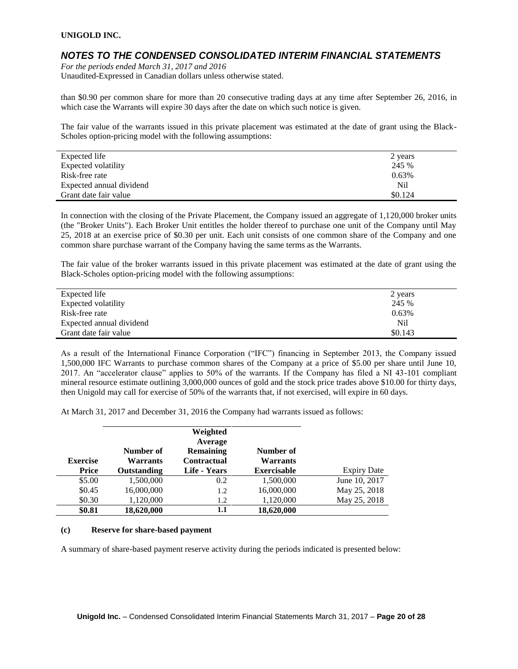### *NOTES TO THE CONDENSED CONSOLIDATED INTERIM FINANCIAL STATEMENTS*

*For the periods ended March 31, 2017 and 2016* Unaudited-Expressed in Canadian dollars unless otherwise stated.

than \$0.90 per common share for more than 20 consecutive trading days at any time after September 26, 2016, in which case the Warrants will expire 30 days after the date on which such notice is given.

The fair value of the warrants issued in this private placement was estimated at the date of grant using the Black-Scholes option-pricing model with the following assumptions:

| Expected life            | 2 years |
|--------------------------|---------|
| Expected volatility      | 245 %   |
| Risk-free rate           | 0.63%   |
| Expected annual dividend | Nil     |
| Grant date fair value    | \$0.124 |

In connection with the closing of the Private Placement, the Company issued an aggregate of 1,120,000 broker units (the "Broker Units"). Each Broker Unit entitles the holder thereof to purchase one unit of the Company until May 25, 2018 at an exercise price of \$0.30 per unit. Each unit consists of one common share of the Company and one common share purchase warrant of the Company having the same terms as the Warrants.

The fair value of the broker warrants issued in this private placement was estimated at the date of grant using the Black-Scholes option-pricing model with the following assumptions:

| Expected life            | 2 years |
|--------------------------|---------|
| Expected volatility      | 245 %   |
| Risk-free rate           | 0.63%   |
| Expected annual dividend | Nil     |
| Grant date fair value    | \$0.143 |

As a result of the International Finance Corporation ("IFC") financing in September 2013, the Company issued 1,500,000 IFC Warrants to purchase common shares of the Company at a price of \$5.00 per share until June 10, 2017. An "accelerator clause" applies to 50% of the warrants. If the Company has filed a NI 43-101 compliant mineral resource estimate outlining 3,000,000 ounces of gold and the stock price trades above \$10.00 for thirty days, then Unigold may call for exercise of 50% of the warrants that, if not exercised, will expire in 60 days.

At March 31, 2017 and December 31, 2016 the Company had warrants issued as follows:

| <b>Exercise</b> | Number of<br><b>Warrants</b> | Weighted<br>Average<br>Remaining<br><b>Contractual</b> | Number of<br><b>Warrants</b> |                    |
|-----------------|------------------------------|--------------------------------------------------------|------------------------------|--------------------|
| Price           | Outstanding                  | Life - Years                                           | <b>Exercisable</b>           | <b>Expiry Date</b> |
| \$5.00          | 1,500,000                    | 0.2                                                    | 1,500,000                    | June 10, 2017      |
| \$0.45          | 16,000,000                   | 1.2                                                    | 16,000,000                   | May 25, 2018       |
| \$0.30          | 1,120,000                    | 1.2                                                    | 1,120,000                    | May 25, 2018       |
| \$0.81          | 18,620,000                   | 1.1                                                    | 18,620,000                   |                    |

#### **(c) Reserve for share-based payment**

A summary of share-based payment reserve activity during the periods indicated is presented below: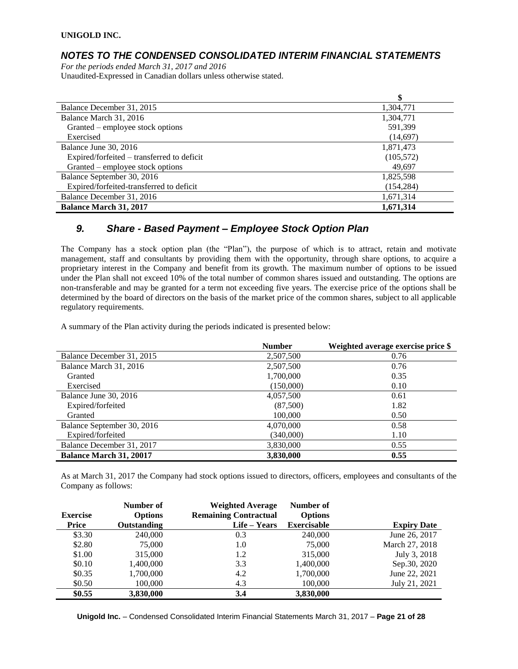## *NOTES TO THE CONDENSED CONSOLIDATED INTERIM FINANCIAL STATEMENTS*

*For the periods ended March 31, 2017 and 2016* Unaudited-Expressed in Canadian dollars unless otherwise stated.

|                                            | \$         |
|--------------------------------------------|------------|
| Balance December 31, 2015                  | 1,304,771  |
| Balance March 31, 2016                     | 1,304,771  |
| Granted – employee stock options           | 591,399    |
| Exercised                                  | (14,697)   |
| Balance June 30, 2016                      | 1,871,473  |
| Expired/forfeited – transferred to deficit | (105, 572) |
| Granted – employee stock options           | 49.697     |
| Balance September 30, 2016                 | 1,825,598  |
| Expired/forfeited-transferred to deficit   | (154, 284) |
| Balance December 31, 2016                  | 1,671,314  |
| <b>Balance March 31, 2017</b>              | 1,671,314  |

## *9. Share - Based Payment – Employee Stock Option Plan*

The Company has a stock option plan (the "Plan"), the purpose of which is to attract, retain and motivate management, staff and consultants by providing them with the opportunity, through share options, to acquire a proprietary interest in the Company and benefit from its growth. The maximum number of options to be issued under the Plan shall not exceed 10% of the total number of common shares issued and outstanding. The options are non-transferable and may be granted for a term not exceeding five years. The exercise price of the options shall be determined by the board of directors on the basis of the market price of the common shares, subject to all applicable regulatory requirements.

A summary of the Plan activity during the periods indicated is presented below:

|                                | <b>Number</b> | Weighted average exercise price \$ |
|--------------------------------|---------------|------------------------------------|
| Balance December 31, 2015      | 2,507,500     | 0.76                               |
| Balance March 31, 2016         | 2,507,500     | 0.76                               |
| Granted                        | 1,700,000     | 0.35                               |
| Exercised                      | (150,000)     | 0.10                               |
| Balance June 30, 2016          | 4,057,500     | 0.61                               |
| Expired/forfeited              | (87,500)      | 1.82                               |
| Granted                        | 100,000       | 0.50                               |
| Balance September 30, 2016     | 4,070,000     | 0.58                               |
| Expired/forfeited              | (340,000)     | 1.10                               |
| Balance December 31, 2017      | 3,830,000     | 0.55                               |
| <b>Balance March 31, 20017</b> | 3,830,000     | 0.55                               |

As at March 31, 2017 the Company had stock options issued to directors, officers, employees and consultants of the Company as follows:

|                 | Number of      | <b>Weighted Average</b>      | Number of          |                    |
|-----------------|----------------|------------------------------|--------------------|--------------------|
| <b>Exercise</b> | <b>Options</b> | <b>Remaining Contractual</b> | <b>Options</b>     |                    |
| Price           | Outstanding    | Life – Years                 | <b>Exercisable</b> | <b>Expiry Date</b> |
| \$3.30          | 240,000        | 0.3                          | 240,000            | June 26, 2017      |
| \$2.80          | 75,000         | 1.0                          | 75,000             | March 27, 2018     |
| \$1.00          | 315,000        | 1.2                          | 315,000            | July 3, 2018       |
| \$0.10          | 1,400,000      | 3.3                          | 1,400,000          | Sep.30, 2020       |
| \$0.35          | 1,700,000      | 4.2                          | 1,700,000          | June 22, 2021      |
| \$0.50          | 100,000        | 4.3                          | 100,000            | July 21, 2021      |
| \$0.55          | 3,830,000      | 3.4                          | 3,830,000          |                    |

**Unigold Inc.** – Condensed Consolidated Interim Financial Statements March 31, 2017 – **Page 21 of 28**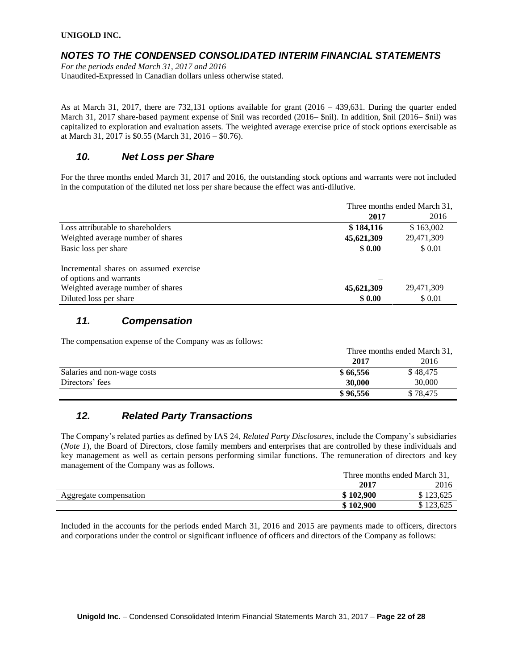### *NOTES TO THE CONDENSED CONSOLIDATED INTERIM FINANCIAL STATEMENTS*

*For the periods ended March 31, 2017 and 2016* Unaudited-Expressed in Canadian dollars unless otherwise stated.

As at March 31, 2017, there are 732,131 options available for grant  $(2016 - 439,631)$ . During the quarter ended March 31, 2017 share-based payment expense of \$nil was recorded (2016– \$nil). In addition, \$nil (2016– \$nil) was capitalized to exploration and evaluation assets. The weighted average exercise price of stock options exercisable as at March 31, 2017 is \$0.55 (March 31, 2016 – \$0.76).

## *10. Net Loss per Share*

For the three months ended March 31, 2017 and 2016, the outstanding stock options and warrants were not included in the computation of the diluted net loss per share because the effect was anti-dilutive.

|                                        | Three months ended March 31, |            |  |
|----------------------------------------|------------------------------|------------|--|
|                                        | 2017                         | 2016       |  |
| Loss attributable to shareholders      | \$184,116                    | \$163,002  |  |
| Weighted average number of shares      | 45,621,309                   | 29,471,309 |  |
| Basic loss per share                   | \$0.00                       | \$ 0.01    |  |
| Incremental shares on assumed exercise |                              |            |  |
| of options and warrants                |                              |            |  |
| Weighted average number of shares      | 45,621,309                   | 29,471,309 |  |
| Diluted loss per share                 | \$0.00                       | \$ 0.01    |  |

## *11. Compensation*

The compensation expense of the Company was as follows:

|                             | Three months ended March 31, |          |  |
|-----------------------------|------------------------------|----------|--|
|                             | 2017                         | 2016     |  |
| Salaries and non-wage costs | \$66,556                     | \$48,475 |  |
| Directors' fees             | 30,000                       | 30,000   |  |
|                             | \$96,556                     | \$78,475 |  |

## *12. Related Party Transactions*

The Company's related parties as defined by IAS 24, *Related Party Disclosures*, include the Company's subsidiaries (*Note 1*), the Board of Directors, close family members and enterprises that are controlled by these individuals and key management as well as certain persons performing similar functions. The remuneration of directors and key management of the Company was as follows.

|                        | Three months ended March 31, |           |  |
|------------------------|------------------------------|-----------|--|
|                        | 2016<br>2017                 |           |  |
| Aggregate compensation | \$102.900                    | 123,625   |  |
|                        | \$102,900                    | \$123,625 |  |

Included in the accounts for the periods ended March 31, 2016 and 2015 are payments made to officers, directors and corporations under the control or significant influence of officers and directors of the Company as follows: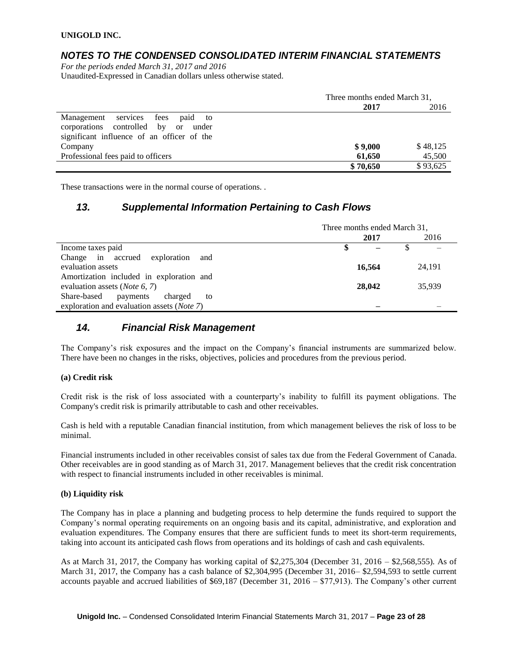## *NOTES TO THE CONDENSED CONSOLIDATED INTERIM FINANCIAL STATEMENTS*

*For the periods ended March 31, 2017 and 2016* Unaudited-Expressed in Canadian dollars unless otherwise stated.

|                                            | Three months ended March 31, |          |  |
|--------------------------------------------|------------------------------|----------|--|
|                                            | 2017                         | 2016     |  |
| Management services fees paid to           |                              |          |  |
| corporations controlled by or<br>under     |                              |          |  |
| significant influence of an officer of the |                              |          |  |
| Company                                    | \$9,000                      | \$48,125 |  |
| Professional fees paid to officers         | 61,650                       | 45,500   |  |
|                                            | \$70,650                     | \$93,625 |  |

These transactions were in the normal course of operations. .

## *13. Supplemental Information Pertaining to Cash Flows*

|                                                    | Three months ended March 31, |        |  |        |
|----------------------------------------------------|------------------------------|--------|--|--------|
|                                                    |                              | 2017   |  | 2016   |
| Income taxes paid                                  |                              |        |  |        |
| Change in accrued exploration<br>and               |                              |        |  |        |
| evaluation assets                                  |                              | 16,564 |  | 24,191 |
| Amortization included in exploration and           |                              |        |  |        |
| evaluation assets ( <i>Note</i> 6, 7)              |                              | 28,042 |  | 35,939 |
| Share-based<br>payments<br>charged<br>to           |                              |        |  |        |
| exploration and evaluation assets ( <i>Note</i> 7) |                              |        |  |        |

## *14. Financial Risk Management*

The Company's risk exposures and the impact on the Company's financial instruments are summarized below. There have been no changes in the risks, objectives, policies and procedures from the previous period.

### **(a) Credit risk**

Credit risk is the risk of loss associated with a counterparty's inability to fulfill its payment obligations. The Company's credit risk is primarily attributable to cash and other receivables.

Cash is held with a reputable Canadian financial institution, from which management believes the risk of loss to be minimal.

Financial instruments included in other receivables consist of sales tax due from the Federal Government of Canada. Other receivables are in good standing as of March 31, 2017. Management believes that the credit risk concentration with respect to financial instruments included in other receivables is minimal.

### **(b) Liquidity risk**

The Company has in place a planning and budgeting process to help determine the funds required to support the Company's normal operating requirements on an ongoing basis and its capital, administrative, and exploration and evaluation expenditures. The Company ensures that there are sufficient funds to meet its short-term requirements, taking into account its anticipated cash flows from operations and its holdings of cash and cash equivalents.

As at March 31, 2017, the Company has working capital of \$2,275,304 (December 31, 2016 – \$2,568,555). As of March 31, 2017, the Company has a cash balance of \$2,304,995 (December 31, 2016– \$2,594,593 to settle current accounts payable and accrued liabilities of \$69,187 (December 31, 2016 – \$77,913). The Company's other current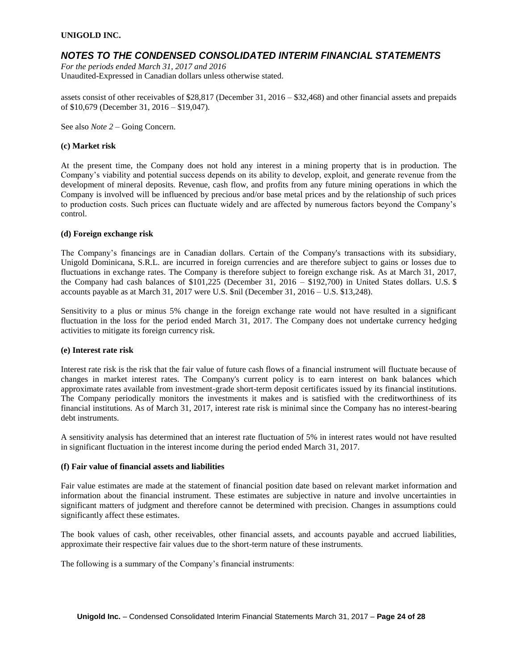### *NOTES TO THE CONDENSED CONSOLIDATED INTERIM FINANCIAL STATEMENTS*

*For the periods ended March 31, 2017 and 2016* Unaudited-Expressed in Canadian dollars unless otherwise stated.

assets consist of other receivables of \$28,817 (December 31, 2016 – \$32,468) and other financial assets and prepaids of \$10,679 (December 31, 2016 – \$19,047).

See also *Note 2* – Going Concern.

#### **(c) Market risk**

At the present time, the Company does not hold any interest in a mining property that is in production. The Company's viability and potential success depends on its ability to develop, exploit, and generate revenue from the development of mineral deposits. Revenue, cash flow, and profits from any future mining operations in which the Company is involved will be influenced by precious and/or base metal prices and by the relationship of such prices to production costs. Such prices can fluctuate widely and are affected by numerous factors beyond the Company's control.

#### **(d) Foreign exchange risk**

The Company's financings are in Canadian dollars. Certain of the Company's transactions with its subsidiary, Unigold Dominicana, S.R.L. are incurred in foreign currencies and are therefore subject to gains or losses due to fluctuations in exchange rates. The Company is therefore subject to foreign exchange risk. As at March 31, 2017, the Company had cash balances of \$101,225 (December 31, 2016 – \$192,700) in United States dollars. U.S. \$ accounts payable as at March 31, 2017 were U.S. \$nil (December 31, 2016 – U.S. \$13,248).

Sensitivity to a plus or minus 5% change in the foreign exchange rate would not have resulted in a significant fluctuation in the loss for the period ended March 31, 2017. The Company does not undertake currency hedging activities to mitigate its foreign currency risk.

#### **(e) Interest rate risk**

Interest rate risk is the risk that the fair value of future cash flows of a financial instrument will fluctuate because of changes in market interest rates. The Company's current policy is to earn interest on bank balances which approximate rates available from investment-grade short-term deposit certificates issued by its financial institutions. The Company periodically monitors the investments it makes and is satisfied with the creditworthiness of its financial institutions. As of March 31, 2017, interest rate risk is minimal since the Company has no interest-bearing debt instruments.

A sensitivity analysis has determined that an interest rate fluctuation of 5% in interest rates would not have resulted in significant fluctuation in the interest income during the period ended March 31, 2017.

#### **(f) Fair value of financial assets and liabilities**

Fair value estimates are made at the statement of financial position date based on relevant market information and information about the financial instrument. These estimates are subjective in nature and involve uncertainties in significant matters of judgment and therefore cannot be determined with precision. Changes in assumptions could significantly affect these estimates.

The book values of cash, other receivables, other financial assets, and accounts payable and accrued liabilities, approximate their respective fair values due to the short-term nature of these instruments.

The following is a summary of the Company's financial instruments: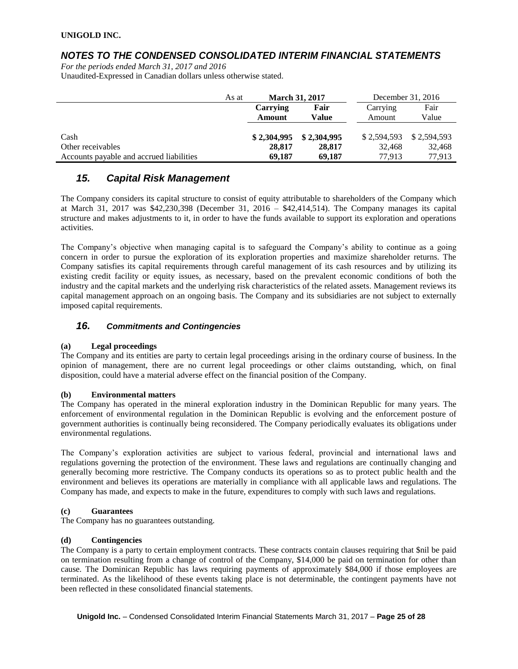### *NOTES TO THE CONDENSED CONSOLIDATED INTERIM FINANCIAL STATEMENTS*

*For the periods ended March 31, 2017 and 2016* Unaudited-Expressed in Canadian dollars unless otherwise stated.

|                                          | As at | <b>March 31, 2017</b> |              | December 31, 2016 |             |
|------------------------------------------|-------|-----------------------|--------------|-------------------|-------------|
|                                          |       | Fair<br>Carrying      |              | Carrying          | Fair        |
|                                          |       | Amount                | <b>Value</b> | Amount            | Value       |
|                                          |       |                       |              |                   |             |
| Cash                                     |       | \$2,304,995           | \$2,304,995  | \$2.594.593       | \$2.594.593 |
| Other receivables                        |       | 28,817                | 28,817       | 32.468            | 32,468      |
| Accounts payable and accrued liabilities |       | 69,187                | 69,187       | 77.913            | 77.913      |

## *15. Capital Risk Management*

The Company considers its capital structure to consist of equity attributable to shareholders of the Company which at March 31, 2017 was \$42,230,398 (December 31, 2016 – \$42,414,514). The Company manages its capital structure and makes adjustments to it, in order to have the funds available to support its exploration and operations activities.

The Company's objective when managing capital is to safeguard the Company's ability to continue as a going concern in order to pursue the exploration of its exploration properties and maximize shareholder returns. The Company satisfies its capital requirements through careful management of its cash resources and by utilizing its existing credit facility or equity issues, as necessary, based on the prevalent economic conditions of both the industry and the capital markets and the underlying risk characteristics of the related assets. Management reviews its capital management approach on an ongoing basis. The Company and its subsidiaries are not subject to externally imposed capital requirements.

### *16. Commitments and Contingencies*

### **(a) Legal proceedings**

The Company and its entities are party to certain legal proceedings arising in the ordinary course of business. In the opinion of management, there are no current legal proceedings or other claims outstanding, which, on final disposition, could have a material adverse effect on the financial position of the Company.

### **(b) Environmental matters**

The Company has operated in the mineral exploration industry in the Dominican Republic for many years. The enforcement of environmental regulation in the Dominican Republic is evolving and the enforcement posture of government authorities is continually being reconsidered. The Company periodically evaluates its obligations under environmental regulations.

The Company's exploration activities are subject to various federal, provincial and international laws and regulations governing the protection of the environment. These laws and regulations are continually changing and generally becoming more restrictive. The Company conducts its operations so as to protect public health and the environment and believes its operations are materially in compliance with all applicable laws and regulations. The Company has made, and expects to make in the future, expenditures to comply with such laws and regulations.

### **(c) Guarantees**

The Company has no guarantees outstanding.

### **(d) Contingencies**

The Company is a party to certain employment contracts. These contracts contain clauses requiring that \$nil be paid on termination resulting from a change of control of the Company, \$14,000 be paid on termination for other than cause. The Dominican Republic has laws requiring payments of approximately \$84,000 if those employees are terminated. As the likelihood of these events taking place is not determinable, the contingent payments have not been reflected in these consolidated financial statements.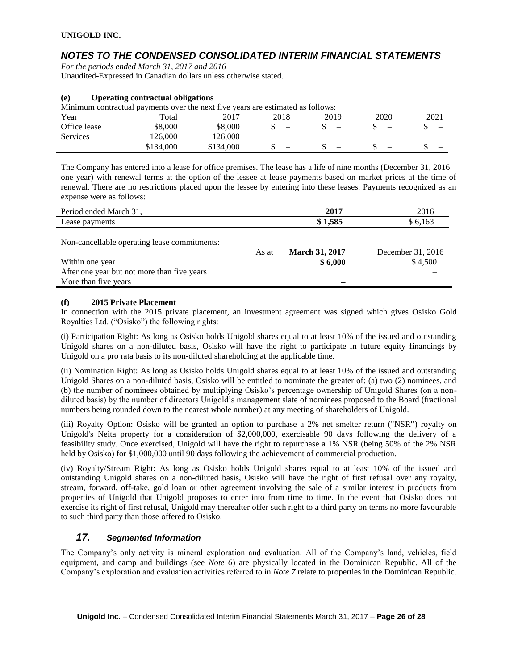## *NOTES TO THE CONDENSED CONSOLIDATED INTERIM FINANCIAL STATEMENTS*

*For the periods ended March 31, 2017 and 2016* Unaudited-Expressed in Canadian dollars unless otherwise stated.

### **(e) Operating contractual obligations**

Minimum contractual payments over the next five years are estimated as follows:

| Year            | Total     | 2017      | 2018                     | 2019 | 2020                     | 2021 |
|-----------------|-----------|-----------|--------------------------|------|--------------------------|------|
| Office lease    | \$8.000   | \$8,000   | -                        | -    | -                        |      |
| <b>Services</b> | 126.000   | 126.000   | $\overline{\phantom{0}}$ | -    | $\overline{\phantom{0}}$ | _    |
|                 | \$134,000 | \$134,000 | -                        |      | -                        | _    |

The Company has entered into a lease for office premises. The lease has a life of nine months (December 31, 2016 – one year) with renewal terms at the option of the lessee at lease payments based on market prices at the time of renewal. There are no restrictions placed upon the lessee by entering into these leases. Payments recognized as an expense were as follows:

| Period ended March 31, | 2017    | 2016  |
|------------------------|---------|-------|
| Lease payments         | \$1.585 | 6,163 |
|                        |         |       |

Non-cancellable operating lease commitments:

|                                             | As at | <b>March 31, 2017</b> | December 31, 2016 |
|---------------------------------------------|-------|-----------------------|-------------------|
| Within one year                             |       | \$6,000               | \$4.500           |
| After one year but not more than five years |       |                       |                   |
| More than five years                        |       |                       |                   |
|                                             |       |                       |                   |

### **(f) 2015 Private Placement**

In connection with the 2015 private placement, an investment agreement was signed which gives Osisko Gold Royalties Ltd. ("Osisko") the following rights:

(i) Participation Right: As long as Osisko holds Unigold shares equal to at least 10% of the issued and outstanding Unigold shares on a non-diluted basis, Osisko will have the right to participate in future equity financings by Unigold on a pro rata basis to its non-diluted shareholding at the applicable time.

(ii) Nomination Right: As long as Osisko holds Unigold shares equal to at least 10% of the issued and outstanding Unigold Shares on a non-diluted basis, Osisko will be entitled to nominate the greater of: (a) two (2) nominees, and (b) the number of nominees obtained by multiplying Osisko's percentage ownership of Unigold Shares (on a nondiluted basis) by the number of directors Unigold's management slate of nominees proposed to the Board (fractional numbers being rounded down to the nearest whole number) at any meeting of shareholders of Unigold.

(iii) Royalty Option: Osisko will be granted an option to purchase a 2% net smelter return ("NSR") royalty on Unigold's Neita property for a consideration of \$2,000,000, exercisable 90 days following the delivery of a feasibility study. Once exercised, Unigold will have the right to repurchase a 1% NSR (being 50% of the 2% NSR held by Osisko) for \$1,000,000 until 90 days following the achievement of commercial production.

(iv) Royalty/Stream Right: As long as Osisko holds Unigold shares equal to at least 10% of the issued and outstanding Unigold shares on a non-diluted basis, Osisko will have the right of first refusal over any royalty, stream, forward, off-take, gold loan or other agreement involving the sale of a similar interest in products from properties of Unigold that Unigold proposes to enter into from time to time. In the event that Osisko does not exercise its right of first refusal, Unigold may thereafter offer such right to a third party on terms no more favourable to such third party than those offered to Osisko.

### *17. Segmented Information*

The Company's only activity is mineral exploration and evaluation. All of the Company's land, vehicles, field equipment, and camp and buildings (see *Note 6*) are physically located in the Dominican Republic. All of the Company's exploration and evaluation activities referred to in *Note 7* relate to properties in the Dominican Republic.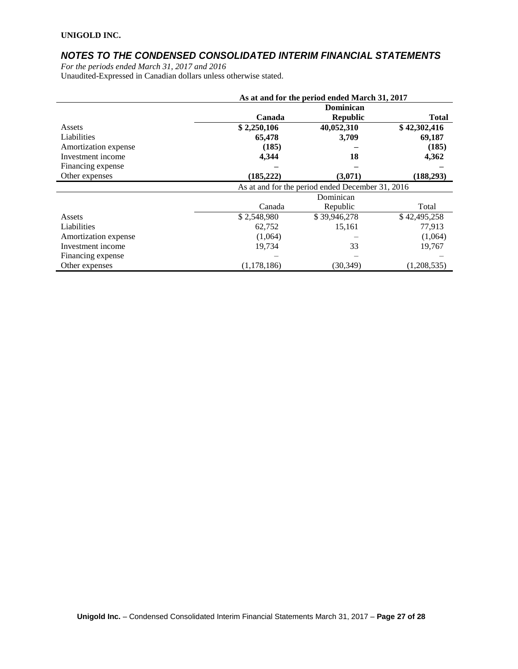## *NOTES TO THE CONDENSED CONSOLIDATED INTERIM FINANCIAL STATEMENTS*

*For the periods ended March 31, 2017 and 2016* Unaudited-Expressed in Canadian dollars unless otherwise stated.

|                      | As at and for the period ended March 31, 2017 |                                                  |              |  |
|----------------------|-----------------------------------------------|--------------------------------------------------|--------------|--|
|                      |                                               | <b>Dominican</b>                                 |              |  |
|                      | Canada                                        | <b>Republic</b>                                  | <b>Total</b> |  |
| Assets               | \$2,250,106                                   | 40,052,310                                       | \$42,302,416 |  |
| Liabilities          | 65,478                                        | 3,709                                            | 69,187       |  |
| Amortization expense | (185)                                         |                                                  | (185)        |  |
| Investment income    | 4,344                                         | 18                                               | 4,362        |  |
| Financing expense    |                                               |                                                  |              |  |
| Other expenses       | (185, 222)                                    | (3,071)                                          | (188, 293)   |  |
|                      |                                               | As at and for the period ended December 31, 2016 |              |  |
|                      | Dominican                                     |                                                  |              |  |
|                      | Canada                                        | Republic                                         | Total        |  |
| Assets               | \$2,548,980                                   | \$39,946,278                                     | \$42,495,258 |  |
| Liabilities          | 62,752                                        | 15,161                                           | 77,913       |  |
| Amortization expense | (1,064)                                       |                                                  | (1,064)      |  |
| Investment income    | 19,734                                        | 33                                               | 19,767       |  |
| Financing expense    |                                               |                                                  |              |  |
| Other expenses       | (1,178,186)                                   | (30, 349)                                        | (1,208,535)  |  |